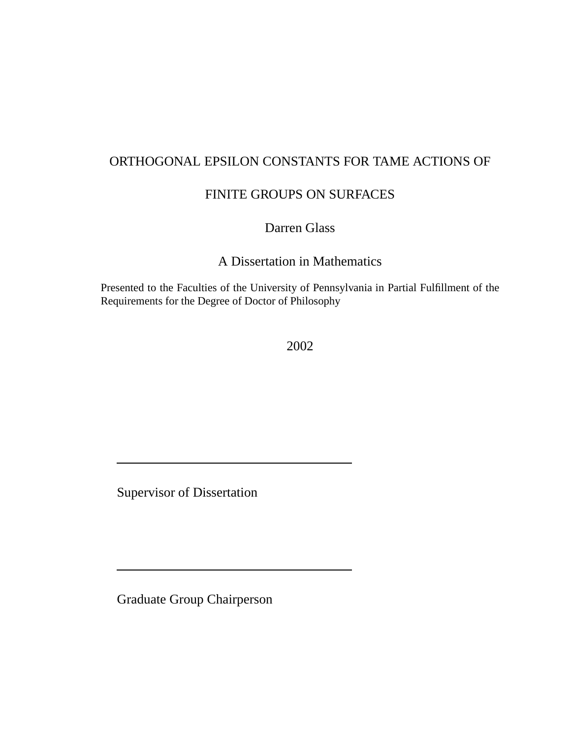### ORTHOGONAL EPSILON CONSTANTS FOR TAME ACTIONS OF

### FINITE GROUPS ON SURFACES

Darren Glass

A Dissertation in Mathematics

Presented to the Faculties of the University of Pennsylvania in Partial Fulfillment of the Requirements for the Degree of Doctor of Philosophy

2002

Supervisor of Dissertation

Graduate Group Chairperson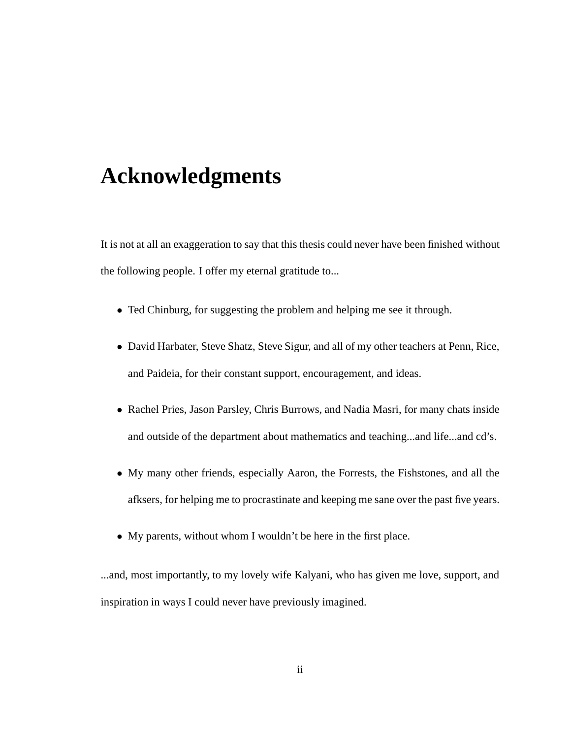# **Acknowledgments**

It is not at all an exaggeration to say that this thesis could never have been finished without the following people. I offer my eternal gratitude to...

- Ted Chinburg, for suggesting the problem and helping me see it through.
- David Harbater, Steve Shatz, Steve Sigur, and all of my other teachers at Penn, Rice, and Paideia, for their constant support, encouragement, and ideas.
- Rachel Pries, Jason Parsley, Chris Burrows, and Nadia Masri, for many chats inside and outside of the department about mathematics and teaching...and life...and cd's.
- My many other friends, especially Aaron, the Forrests, the Fishstones, and all the afksers, for helping me to procrastinate and keeping me sane over the past five years.
- My parents, without whom I wouldn't be here in the first place.

...and, most importantly, to my lovely wife Kalyani, who has given me love, support, and inspiration in ways I could never have previously imagined.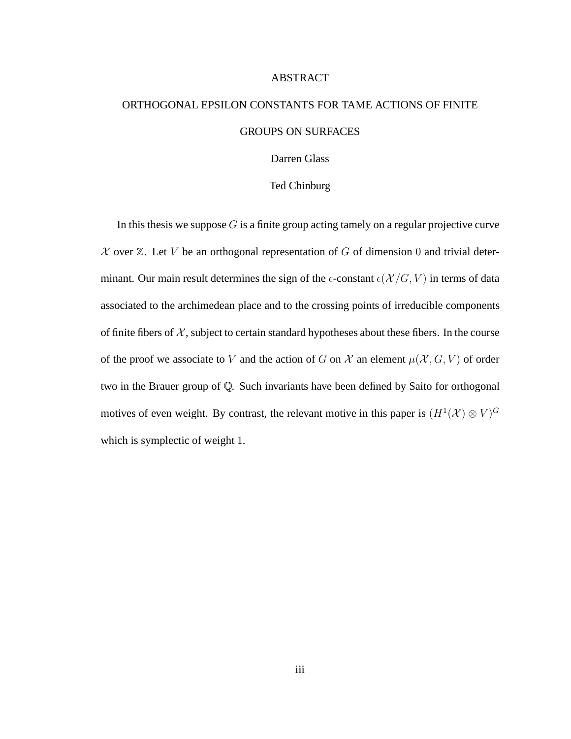#### ABSTRACT

### ORTHOGONAL EPSILON CONSTANTS FOR TAME ACTIONS OF FINITE GROUPS ON SURFACES

Darren Glass

#### Ted Chinburg

In this thesis we suppose  $G$  is a finite group acting tamely on a regular projective curve  $X$  over  $\mathbb{Z}$ . Let V be an orthogonal representation of G of dimension 0 and trivial determinant. Our main result determines the sign of the  $\epsilon$ -constant  $\epsilon(\mathcal{X}/G, V)$  in terms of data associated to the archimedean place and to the crossing points of irreducible components of finite fibers of  $X$ , subject to certain standard hypotheses about these fibers. In the course of the proof we associate to V and the action of G on X an element  $\mu(\mathcal{X}, G, V)$  of order two in the Brauer group of Q. Such invariants have been defined by Saito for orthogonal motives of even weight. By contrast, the relevant motive in this paper is  $(H^1(\mathcal{X}) \otimes V)^G$ which is symplectic of weight 1.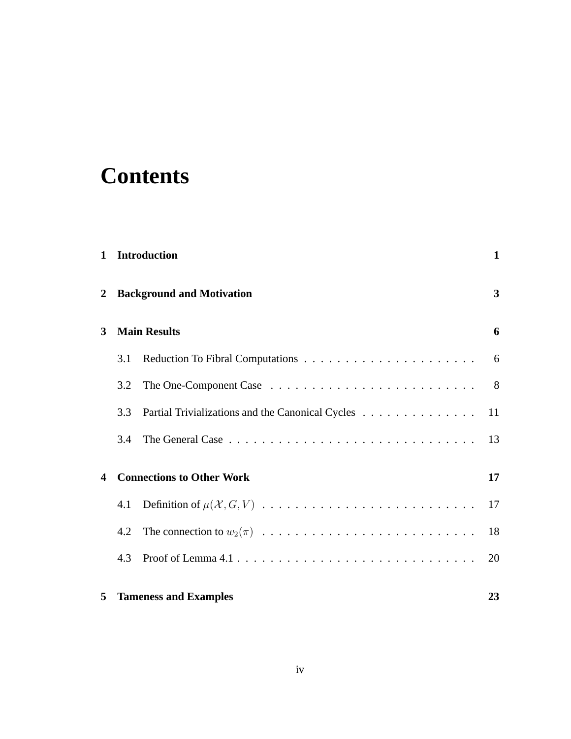# **Contents**

|                            |                     | 1 Introduction                                   | $\mathbf{1}$ |
|----------------------------|---------------------|--------------------------------------------------|--------------|
| 2                          |                     | <b>Background and Motivation</b>                 | 3            |
| 3                          | <b>Main Results</b> |                                                  | 6            |
|                            | 3.1                 |                                                  | 6            |
|                            | 3.2                 |                                                  | 8            |
|                            | 3.3                 | Partial Trivializations and the Canonical Cycles | 11           |
|                            | 3.4                 |                                                  | 13           |
| $\boldsymbol{\mathcal{L}}$ |                     | <b>Connections to Other Work</b>                 |              |
|                            | 4.1                 |                                                  | 17           |
|                            | 4.2                 |                                                  | 18           |
|                            | 4.3                 |                                                  | 20           |
| 5                          |                     | <b>Tameness and Examples</b>                     | 23           |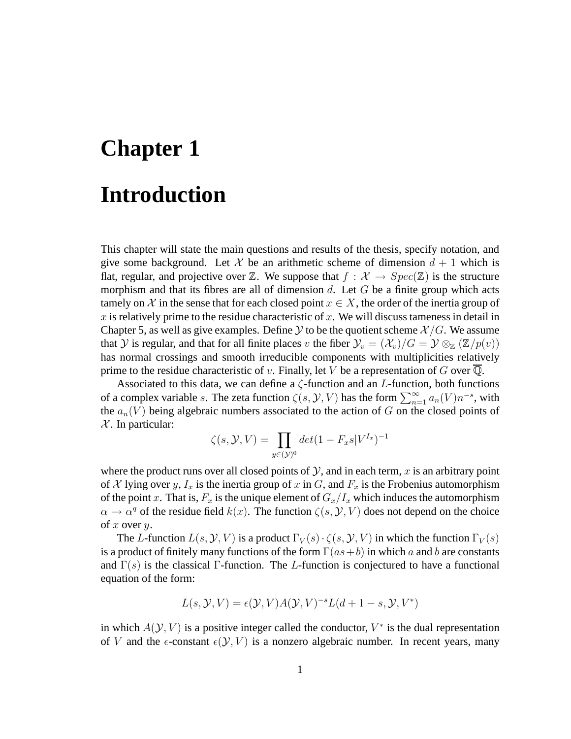# **Chapter 1**

# **Introduction**

This chapter will state the main questions and results of the thesis, specify notation, and give some background. Let X be an arithmetic scheme of dimension  $d + 1$  which is flat, regular, and projective over Z. We suppose that  $f : \mathcal{X} \to Spec(\mathbb{Z})$  is the structure morphism and that its fibres are all of dimension  $d$ . Let  $G$  be a finite group which acts tamely on X in the sense that for each closed point  $x \in X$ , the order of the inertia group of x is relatively prime to the residue characteristic of x. We will discuss tameness in detail in Chapter 5, as well as give examples. Define  $\mathcal Y$  to be the quotient scheme  $\mathcal X/G$ . We assume that Y is regular, and that for all finite places v the fiber  $\mathcal{Y}_v = (\mathcal{X}_v)/G = \mathcal{Y} \otimes_{\mathbb{Z}} (\mathbb{Z}/p(v))$ has normal crossings and smooth irreducible components with multiplicities relatively prime to the residue characteristic of v. Finally, let V be a representation of G over  $\mathbb Q$ .

Associated to this data, we can define a  $\zeta$ -function and an  $L$ -function, both functions of a complex variable s. The zeta function  $\zeta(s, \mathcal{Y}, V)$  has the form  $\sum_{n=1}^{\infty} a_n(V) n^{-s}$ , with the  $a_n(V)$  being algebraic numbers associated to the action of G on the closed points of  $X$ . In particular:

$$
\zeta(s,\mathcal{Y},V) = \prod_{y \in (\mathcal{Y})^0} det(1 - F_x s | V^{I_x})^{-1}
$$

where the product runs over all closed points of  $\mathcal{Y}$ , and in each term, x is an arbitrary point of X lying over y,  $I_x$  is the inertia group of x in G, and  $F_x$  is the Frobenius automorphism of the point x. That is,  $F_x$  is the unique element of  $G_x/I_x$  which induces the automorphism  $\alpha \to \alpha^q$  of the residue field  $k(x)$ . The function  $\zeta(s, \mathcal{Y}, V)$  does not depend on the choice of  $x$  over  $y$ .

The L-function  $L(s, Y, V)$  is a product  $\Gamma_V(s) \cdot \zeta(s, Y, V)$  in which the function  $\Gamma_V(s)$ is a product of finitely many functions of the form  $\Gamma(as+b)$  in which a and b are constants and  $\Gamma(s)$  is the classical Γ-function. The L-function is conjectured to have a functional equation of the form:

$$
L(s, \mathcal{Y}, V) = \epsilon(\mathcal{Y}, V) A(\mathcal{Y}, V)^{-s} L(d+1-s, \mathcal{Y}, V^*)
$$

in which  $A(Y, V)$  is a positive integer called the conductor,  $V^*$  is the dual representation of V and the  $\epsilon$ -constant  $\epsilon(\mathcal{Y}, V)$  is a nonzero algebraic number. In recent years, many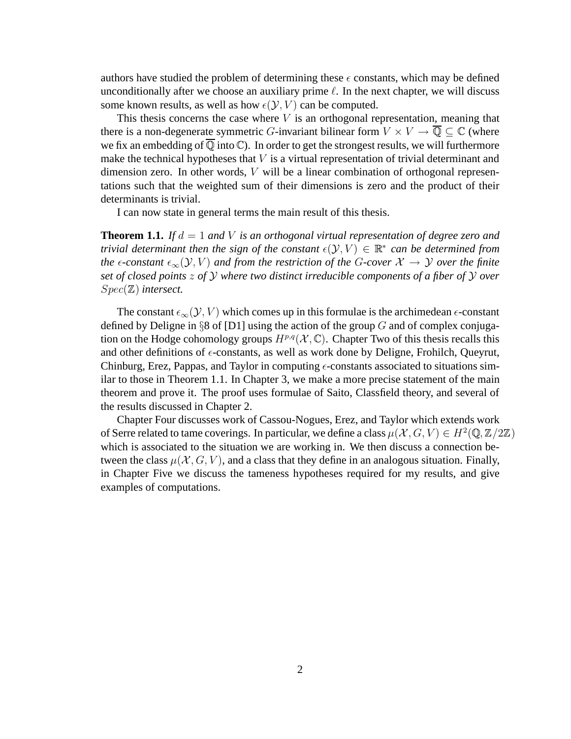authors have studied the problem of determining these  $\epsilon$  constants, which may be defined unconditionally after we choose an auxiliary prime  $\ell$ . In the next chapter, we will discuss some known results, as well as how  $\epsilon(\mathcal{Y}, V)$  can be computed.

This thesis concerns the case where  $V$  is an orthogonal representation, meaning that there is a non-degenerate symmetric G-invariant bilinear form  $V \times V \to \overline{\mathbb{Q}} \subset \mathbb{C}$  (where we fix an embedding of  $\overline{Q}$  into  $\mathbb{C}$ ). In order to get the strongest results, we will furthermore make the technical hypotheses that  $V$  is a virtual representation of trivial determinant and dimension zero. In other words,  $V$  will be a linear combination of orthogonal representations such that the weighted sum of their dimensions is zero and the product of their determinants is trivial.

I can now state in general terms the main result of this thesis.

**Theorem 1.1.** If  $d = 1$  and V is an orthogonal virtual representation of degree zero and *trivial determinant then the sign of the constant*  $\epsilon(\mathcal{Y}, V) \in \mathbb{R}^*$  *can be determined from the*  $\epsilon$ -constant  $\epsilon_{\infty}(\mathcal{Y}, V)$  and from the restriction of the G-cover  $\mathcal{X} \to \mathcal{Y}$  over the finite *set of closed points* z *of* Y *where two distinct irreducible components of a fiber of* Y *over* Spec(Z) *intersect.*

The constant  $\epsilon_{\infty}(\mathcal{Y}, V)$  which comes up in this formulae is the archimedean  $\epsilon$ -constant defined by Deligne in §8 of [D1] using the action of the group G and of complex conjugation on the Hodge cohomology groups  $H^{p,q}(\mathcal{X}, \mathbb{C})$ . Chapter Two of this thesis recalls this and other definitions of  $\epsilon$ -constants, as well as work done by Deligne, Frohilch, Queyrut, Chinburg, Erez, Pappas, and Taylor in computing  $\epsilon$ -constants associated to situations similar to those in Theorem 1.1. In Chapter 3, we make a more precise statement of the main theorem and prove it. The proof uses formulae of Saito, Classfield theory, and several of the results discussed in Chapter 2.

Chapter Four discusses work of Cassou-Nogues, Erez, and Taylor which extends work of Serre related to tame coverings. In particular, we define a class  $\mu(\mathcal{X}, G, V) \in H^2(\mathbb{Q}, \mathbb{Z}/2\mathbb{Z})$ which is associated to the situation we are working in. We then discuss a connection between the class  $\mu(\mathcal{X}, G, V)$ , and a class that they define in an analogous situation. Finally, in Chapter Five we discuss the tameness hypotheses required for my results, and give examples of computations.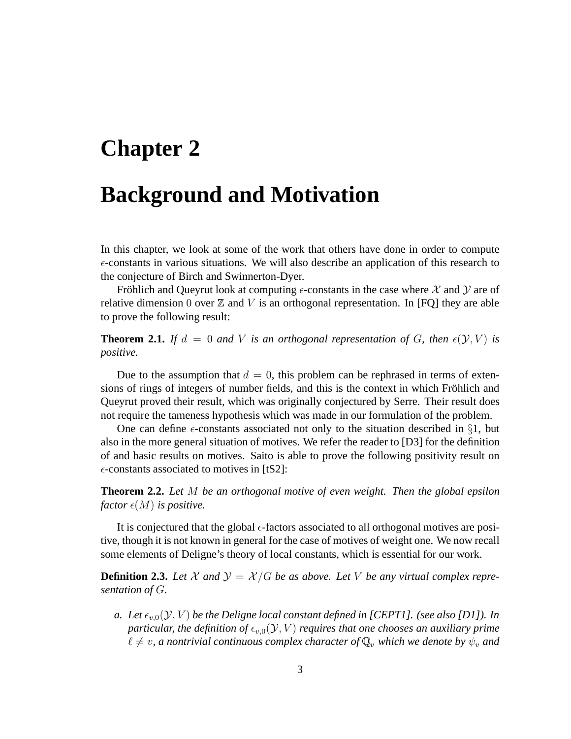### **Chapter 2**

# **Background and Motivation**

In this chapter, we look at some of the work that others have done in order to compute  $\epsilon$ -constants in various situations. We will also describe an application of this research to the conjecture of Birch and Swinnerton-Dyer.

Fröhlich and Queyrut look at computing  $\epsilon$ -constants in the case where X and Y are of relative dimension 0 over  $\mathbb Z$  and  $V$  is an orthogonal representation. In [FQ] they are able to prove the following result:

**Theorem 2.1.** If  $d = 0$  and V is an orthogonal representation of G, then  $\epsilon(\mathcal{Y}, V)$  is *positive.*

Due to the assumption that  $d = 0$ , this problem can be rephrased in terms of extensions of rings of integers of number fields, and this is the context in which Fröhlich and Queyrut proved their result, which was originally conjectured by Serre. Their result does not require the tameness hypothesis which was made in our formulation of the problem.

One can define  $\epsilon$ -constants associated not only to the situation described in §1, but also in the more general situation of motives. We refer the reader to [D3] for the definition of and basic results on motives. Saito is able to prove the following positivity result on  $\epsilon$ -constants associated to motives in [tS2]:

**Theorem 2.2.** *Let* M *be an orthogonal motive of even weight. Then the global epsilon factor*  $\epsilon(M)$  *is positive.* 

It is conjectured that the global  $\epsilon$ -factors associated to all orthogonal motives are positive, though it is not known in general for the case of motives of weight one. We now recall some elements of Deligne's theory of local constants, which is essential for our work.

**Definition 2.3.** Let X and  $\mathcal{Y} = \mathcal{X}/G$  be as above. Let V be any virtual complex repre*sentation of* G*.*

*a.* Let  $\epsilon_{v,0}(\mathcal{Y}, V)$  be the Deligne local constant defined in [CEPT1]. (see also [D1]). In *particular, the definition of*  $\epsilon_{v,0}(Y, V)$  *requires that one chooses an auxiliary prime*  $\ell \neq v$ , a nontrivial continuous complex character of  $\mathbb{Q}_v$  which we denote by  $\psi_v$  and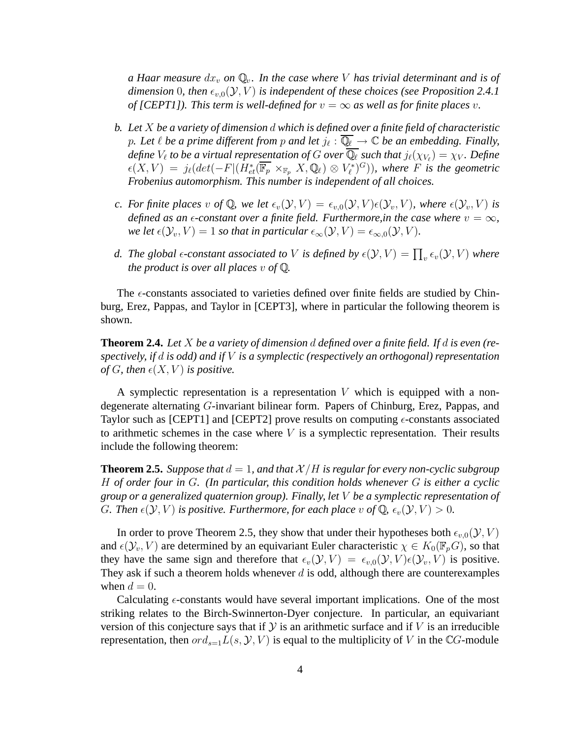*a Haar measure*  $dx_v$  *on*  $\mathbb{Q}_v$ *. In the case where* V *has trivial determinant and is of dimension* 0*, then*  $\epsilon_{v,0}(Y, V)$  *is independent of these choices (see Proposition 2.4.1 of [CEPT1]). This term is well-defined for*  $v = \infty$  *as well as for finite places* v.

- *b. Let* X *be a variety of dimension* d *which is defined over a finite field of characteristic p. Let*  $\ell$  *be a prime different from p and let*  $j_{\ell} : \overline{\mathbb{Q}_{\ell}} \to \mathbb{C}$  *be an embedding. Finally, define*  $V_{\ell}$  *to be a virtual representation of G over*  $\overline{\mathbb{Q}_{\ell}}$  *such that*  $j_{\ell}(\chi_{V_{\ell}}) = \chi_V$ *. Define*  $\epsilon(X, V) = j_{\ell}(det(-F|(H_{et}^*(\overline{\mathbb{F}_p} \times_{\mathbb{F}_p} X, \mathbb{Q}_{\ell}) \otimes V_{\ell}^*)^G)$ ), where F is the geometric *Frobenius automorphism. This number is independent of all choices.*
- *c. For finite places* v of Q, we let  $\epsilon_v(\mathcal{Y}, V) = \epsilon_{v,0}(\mathcal{Y}, V) \epsilon(\mathcal{Y}_v, V)$ , where  $\epsilon(\mathcal{Y}_v, V)$  is *defined as an*  $\epsilon$ *-constant over a finite field. Furthermore, in the case where*  $v = \infty$ *, we let*  $\epsilon(\mathcal{Y}_v, V) = 1$  *so that in particular*  $\epsilon_\infty(\mathcal{Y}, V) = \epsilon_{\infty,0}(\mathcal{Y}, V)$ *.*
- d. The global  $\epsilon$ -constant associated to V is defined by  $\epsilon(\mathcal{Y}, V) = \prod_{v} \epsilon_{v}(\mathcal{Y}, V)$  where *the product is over all places*  $v$  *of*  $\mathbb{Q}$ *.*

The  $\epsilon$ -constants associated to varieties defined over finite fields are studied by Chinburg, Erez, Pappas, and Taylor in [CEPT3], where in particular the following theorem is shown.

**Theorem 2.4.** *Let* X *be a variety of dimension* d *defined over a finite field. If* d *is even (respectively, if* d *is odd) and if* V *is a symplectic (respectively an orthogonal) representation of* G, then  $\epsilon$ (X, V) is positive.

A symplectic representation is a representation  $V$  which is equipped with a nondegenerate alternating G-invariant bilinear form. Papers of Chinburg, Erez, Pappas, and Taylor such as [CEPT1] and [CEPT2] prove results on computing  $\epsilon$ -constants associated to arithmetic schemes in the case where  $V$  is a symplectic representation. Their results include the following theorem:

**Theorem 2.5.** *Suppose that*  $d = 1$ *, and that*  $\mathcal{X}/H$  *is regular for every non-cyclic subgroup* H *of order four in* G*. (In particular, this condition holds whenever* G *is either a cyclic group or a generalized quaternion group). Finally, let* V *be a symplectic representation of G. Then*  $\epsilon(\mathcal{Y}, V)$  *is positive. Furthermore, for each place* v of  $\mathbb{Q}, \epsilon_v(\mathcal{Y}, V) > 0$ *.* 

In order to prove Theorem 2.5, they show that under their hypotheses both  $\epsilon_{v,0}(\mathcal{Y}, V)$ and  $\epsilon(\mathcal{Y}_v, V)$  are determined by an equivariant Euler characteristic  $\chi \in K_0(\mathbb{F}_p G)$ , so that they have the same sign and therefore that  $\epsilon_v(\mathcal{Y}, V) = \epsilon_{v,0}(\mathcal{Y}, V) \epsilon(\mathcal{Y}_v, V)$  is positive. They ask if such a theorem holds whenever  $d$  is odd, although there are counterexamples when  $d = 0$ .

Calculating  $\epsilon$ -constants would have several important implications. One of the most striking relates to the Birch-Swinnerton-Dyer conjecture. In particular, an equivariant version of this conjecture says that if  $Y$  is an arithmetic surface and if V is an irreducible representation, then  $ord_{s=1}L(s, Y, V)$  is equal to the multiplicity of V in the CG-module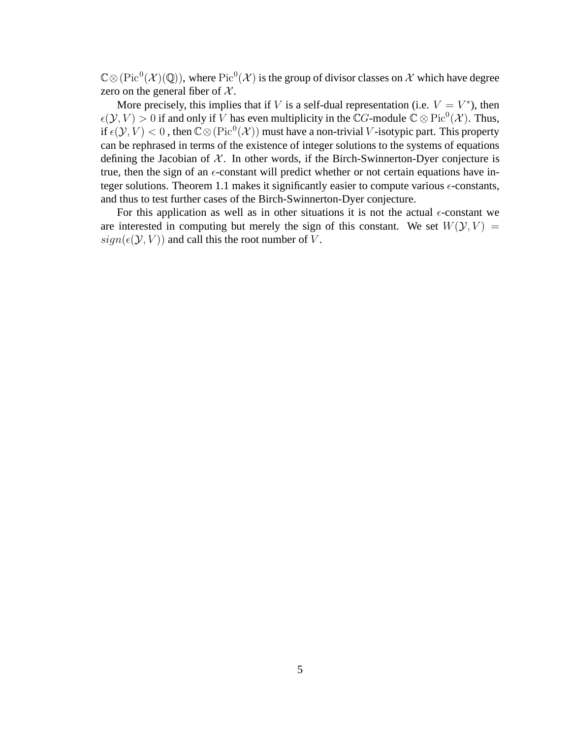$\mathbb{C}\otimes(\mathrm{Pic}^0(\mathcal{X})(\mathbb{Q}))$ , where  $\mathrm{Pic}^0(\mathcal{X})$  is the group of divisor classes on  $\mathcal X$  which have degree zero on the general fiber of  $X$ .

More precisely, this implies that if V is a self-dual representation (i.e.  $V = V^*$ ), then  $\epsilon(\mathcal{Y}, V) > 0$  if and only if V has even multiplicity in the CG-module  $\mathbb{C} \otimes \text{Pic}^0(\mathcal{X})$ . Thus, if  $\epsilon(\mathcal{Y}, V) < 0$ , then  $\mathbb{C} \otimes (\text{Pic}^0(\mathcal{X}))$  must have a non-trivial V-isotypic part. This property can be rephrased in terms of the existence of integer solutions to the systems of equations defining the Jacobian of  $X$ . In other words, if the Birch-Swinnerton-Dyer conjecture is true, then the sign of an  $\epsilon$ -constant will predict whether or not certain equations have integer solutions. Theorem 1.1 makes it significantly easier to compute various  $\epsilon$ -constants, and thus to test further cases of the Birch-Swinnerton-Dyer conjecture.

For this application as well as in other situations it is not the actual  $\epsilon$ -constant we are interested in computing but merely the sign of this constant. We set  $W(Y, V) =$  $sign(\epsilon(\mathcal{Y}, V))$  and call this the root number of V.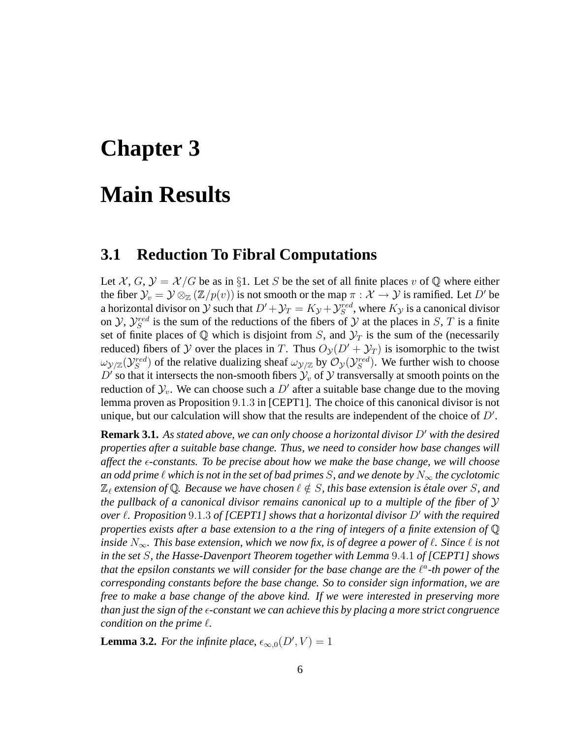### **Chapter 3**

## **Main Results**

### **3.1 Reduction To Fibral Computations**

Let X, G,  $\mathcal{Y} = \mathcal{X}/G$  be as in §1. Let S be the set of all finite places v of Q where either the fiber  $\mathcal{Y}_v = \mathcal{Y} \otimes_{\mathbb{Z}} (\mathbb{Z}/p(v))$  is not smooth or the map  $\pi : \mathcal{X} \to \mathcal{Y}$  is ramified. Let D' be a horizontal divisor on  $\mathcal Y$  such that  $D' + \mathcal Y_T = K_{\mathcal Y} + \mathcal Y_S^{red}$ , where  $K_{\mathcal Y}$  is a canonical divisor on  $\mathcal{Y}, \mathcal{Y}_S^{red}$  is the sum of the reductions of the fibers of  $\mathcal Y$  at the places in  $S, T$  is a finite set of finite places of  $\mathbb Q$  which is disjoint from S, and  $\mathcal Y_T$  is the sum of the (necessarily reduced) fibers of Y over the places in T. Thus  $O_y(D' + Y_T)$  is isomorphic to the twist  $\omega_{\mathcal{Y}/\mathbb{Z}}(\mathcal{Y}_S^{red})$  of the relative dualizing sheaf  $\omega_{\mathcal{Y}/\mathbb{Z}}$  by  $\mathcal{O}_{\mathcal{Y}}(\mathcal{Y}_S^{red})$ . We further wish to choose D' so that it intersects the non-smooth fibers  $\mathcal{Y}_v$  of  $\mathcal{Y}$  transversally at smooth points on the reduction of  $\mathcal{Y}_v$ . We can choose such a D' after a suitable base change due to the moving lemma proven as Proposition 9.1.3 in [CEPT1]. The choice of this canonical divisor is not unique, but our calculation will show that the results are independent of the choice of  $D'$ .

**Remark 3.1.** As stated above, we can only choose a horizontal divisor D' with the desired *properties after a suitable base change. Thus, we need to consider how base changes will affect the -constants. To be precise about how we make the base change, we will choose an odd prime*  $\ell$  *which is not in the set of bad primes* S, and we denote by  $N_{\infty}$  the cyclotomic  $\mathbb{Z}_\ell$  *extension of* Q. Because we have chosen  $\ell \notin S$ , this base extension is étale over *S*, and *the pullback of a canonical divisor remains canonical up to a multiple of the fiber of* Y *over*  $\ell$ . Proposition 9.1.3 of [CEPT1] shows that a horizontal divisor D' with the required *properties exists after a base extension to a the ring of integers of a finite extension of* <sup>Q</sup> *inside*  $N_{\infty}$ *. This base extension, which we now fix, is of degree a power of*  $\ell$ *. Since*  $\ell$  *is not in the set* S*, the Hasse-Davenport Theorem together with Lemma* 9.4.1 *of [CEPT1] shows that the epsilon constants we will consider for the base change are the*  $\ell^a$ -th power of the *corresponding constants before the base change. So to consider sign information, we are free to make a base change of the above kind. If we were interested in preserving more than just the sign of the -constant we can achieve this by placing a more strict congruence condition on the prime*  $\ell$ *.* 

**Lemma 3.2.** *For the infinite place,*  $\epsilon_{\infty,0}(D',V) = 1$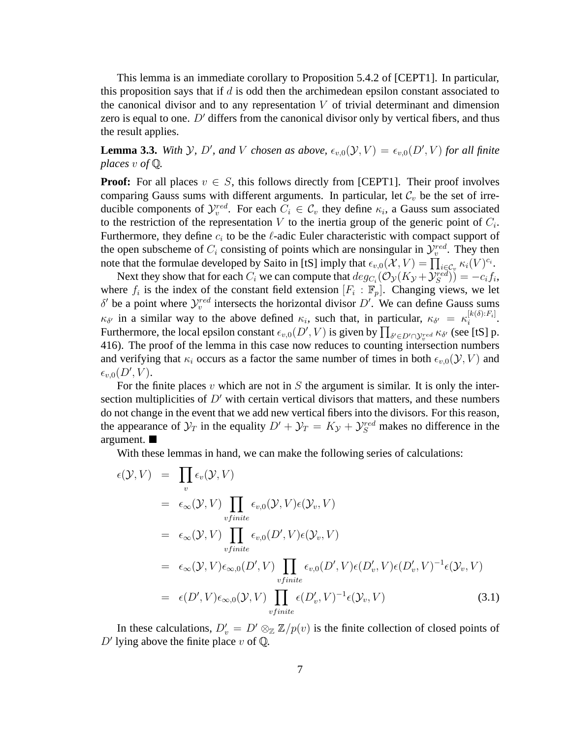This lemma is an immediate corollary to Proposition 5.4.2 of [CEPT1]. In particular, this proposition says that if  $d$  is odd then the archimedean epsilon constant associated to the canonical divisor and to any representation  $V$  of trivial determinant and dimension zero is equal to one.  $D'$  differs from the canonical divisor only by vertical fibers, and thus the result applies.

**Lemma 3.3.** With  $\mathcal{Y}$ , D', and V chosen as above,  $\epsilon_{v,0}(\mathcal{Y}, V) = \epsilon_{v,0}(D', V)$  for all finite *places*  $v$  *of*  $\mathbb{Q}$ *.* 

**Proof:** For all places  $v \in S$ , this follows directly from [CEPT1]. Their proof involves comparing Gauss sums with different arguments. In particular, let  $C_v$  be the set of irreducible components of  $\mathcal{Y}_v^{red}$ . For each  $C_i \in \mathcal{C}_v$  they define  $\kappa_i$ , a Gauss sum associated to the restriction of the representation  $V$  to the inertia group of the generic point of  $C_i$ . Furthermore, they define  $c_i$  to be the  $\ell$ -adic Euler characteristic with compact support of the open subscheme of  $C_i$  consisting of points which are nonsingular in  $\mathcal{Y}_v^{red}$ . They then note that the formulae developed by Saito in [tS] imply that  $\epsilon_{v,0}(\mathcal{X}, V) = \prod_{i \in \mathcal{C}_v} \kappa_i(V)^{c_i}$ .

Next they show that for each  $C_i$  we can compute that  $deg_{C_i}(\mathcal{O}_{\mathcal{Y}}(K_{\mathcal{Y}}+\mathcal{Y}_{S}^{red})) = -c_i f_i$ , where  $f_i$  is the index of the constant field extension  $[F_i : \mathbb{F}_p]$ . Changing views, we let  $δ'$  be a point where  $y_{v}^{red}$  intersects the horizontal divisor D'. We can define Gauss sums  $\kappa_{\delta'}$  in a similar way to the above defined  $\kappa_i$ , such that, in particular,  $\kappa_{\delta'} = \kappa_i^{[k(\delta):F_i]}$ . Furthermore, the local epsilon constant  $\epsilon_{v,0}(D', V)$  is given by  $\prod_{\delta' \in D' \cap \mathcal{Y}^{red}_v} \kappa_{\delta'}$  (see [tS] p. 416). The proof of the lemma in this case now reduces to counting intersection numbers and verifying that  $\kappa_i$  occurs as a factor the same number of times in both  $\epsilon_{v,0}(\mathcal{Y}, V)$  and  $\epsilon_{v,0}(D',\dot{V}).$ 

For the finite places v which are not in  $S$  the argument is similar. It is only the intersection multiplicities of  $D'$  with certain vertical divisors that matters, and these numbers do not change in the event that we add new vertical fibers into the divisors. For this reason, the appearance of  $\mathcal{Y}_T$  in the equality  $D' + \mathcal{Y}_T = K_{\mathcal{Y}} + \mathcal{Y}_S^{red}$  makes no difference in the argument.

With these lemmas in hand, we can make the following series of calculations:

$$
\epsilon(\mathcal{Y}, V) = \prod_{v} \epsilon_{v}(\mathcal{Y}, V)
$$
\n
$$
= \epsilon_{\infty}(\mathcal{Y}, V) \prod_{\text{finite}} \epsilon_{v,0}(\mathcal{Y}, V) \epsilon(\mathcal{Y}_{v}, V)
$$
\n
$$
= \epsilon_{\infty}(\mathcal{Y}, V) \prod_{\text{finite}} \epsilon_{v,0}(D', V) \epsilon(\mathcal{Y}_{v}, V)
$$
\n
$$
= \epsilon_{\infty}(\mathcal{Y}, V) \epsilon_{\infty,0}(D', V) \prod_{\text{finite}} \epsilon_{v,0}(D', V) \epsilon(D', V) \epsilon(D', V)^{-1} \epsilon(\mathcal{Y}_{v}, V)
$$
\n
$$
= \epsilon(D', V) \epsilon_{\infty,0}(\mathcal{Y}, V) \prod_{\text{finite}} \epsilon(D', V)^{-1} \epsilon(\mathcal{Y}_{v}, V) \tag{3.1}
$$

In these calculations,  $D_v' = D' \otimes_{\mathbb{Z}} \mathbb{Z}/p(v)$  is the finite collection of closed points of  $D'$  lying above the finite place v of  $\mathbb{Q}$ .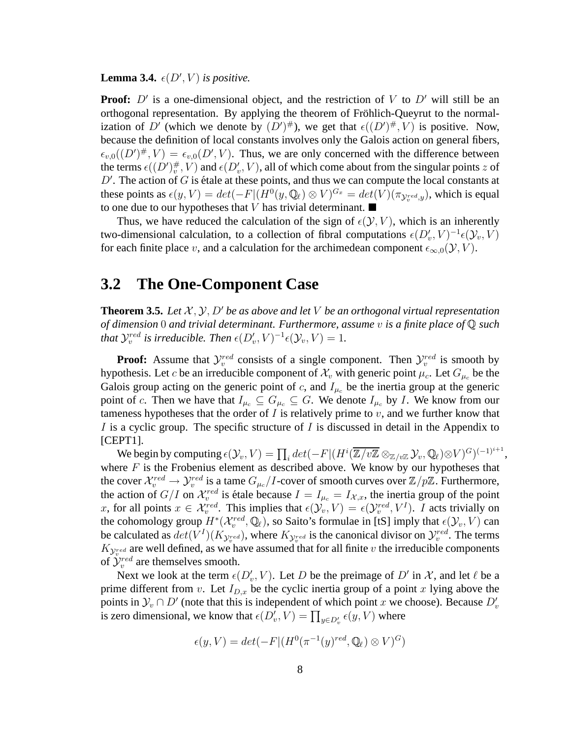#### **Lemma 3.4.**  $\epsilon(D', V)$  *is positive.*

**Proof:**  $D'$  is a one-dimensional object, and the restriction of V to  $D'$  will still be an orthogonal representation. By applying the theorem of Fröhlich-Queyrut to the normalization of D' (which we denote by  $(D')^{\#}$ ), we get that  $\epsilon((D')^{\#}, V)$  is positive. Now, because the definition of local constants involves only the Galois action on general fibers,  $\epsilon_{v,0}((D')^{\#}, V) = \epsilon_{v,0}(D', V)$ . Thus, we are only concerned with the difference between the terms  $\epsilon((D')_v^{\#}, V)$  and  $\epsilon(D'_v, V)$ , all of which come about from the singular points z of  $D'$ . The action of G is étale at these points, and thus we can compute the local constants at these points as  $\epsilon(y, V) = det(-F)(H^0(y, \mathbb{Q}_\ell) \otimes V)^{G_x} = det(V)(\pi_{\mathcal{Y}_v^{red}, y})$ , which is equal to one due to our hypotheses that V has trivial determinant.  $\blacksquare$ 

Thus, we have reduced the calculation of the sign of  $\epsilon(\mathcal{Y}, V)$ , which is an inherently two-dimensional calculation, to a collection of fibral computations  $\epsilon(D'_v, V)^{-1} \epsilon(\mathcal{Y}_v, V)$ for each finite place v, and a calculation for the archimedean component  $\epsilon_{\infty,0}(\mathcal{Y}, V)$ .

### **3.2 The One-Component Case**

**Theorem 3.5.** Let  $\mathcal{X}, \mathcal{Y}, \mathcal{D}'$  be as above and let V be an orthogonal virtual representation *of dimension* 0 *and trivial determinant. Furthermore, assume* v *is a finite place of* <sup>Q</sup> *such that*  $\mathcal{Y}_{v}^{red}$  *is irreducible. Then*  $\epsilon(D'_{v}, V)^{-1}\epsilon(\mathcal{Y}_{v}, V) = 1$ *.* 

**Proof:** Assume that  $\mathcal{Y}_{v}^{red}$  consists of a single component. Then  $\mathcal{Y}_{v}^{red}$  is smooth by hypothesis. Let c be an irreducible component of  $\mathcal{X}_v$  with generic point  $\mu_c$ . Let  $G_{\mu_c}$  be the Galois group acting on the generic point of c, and  $I_{\mu_c}$  be the inertia group at the generic point of c. Then we have that  $I_{\mu_c} \subseteq G_{\mu_c} \subseteq G$ . We denote  $I_{\mu_c}$  by I. We know from our tameness hypotheses that the order of  $I$  is relatively prime to  $v$ , and we further know that I is a cyclic group. The specific structure of I is discussed in detail in the Appendix to [CEPT1].

We begin by computing  $\epsilon(\mathcal{Y}_v, V) = \prod_i det(-F | (H^i(\overline{\mathbb{Z}/v\mathbb{Z}} \otimes_{\mathbb{Z}/v\mathbb{Z}} \mathcal{Y}_v, \mathbb{Q}_\ell) \otimes V)^G)^{(-1)^{i+1}}$ where  $F$  is the Frobenius element as described above. We know by our hypotheses that the cover  $\mathcal{X}_v^{red}\to\mathcal{Y}_v^{red}$  is a tame  $G_{\mu_c}/I$ -cover of smooth curves over  $\mathbb{Z}/p\mathbb{Z}$ . Furthermore, the action of  $G/I$  on  $\mathcal{X}_v^{red}$  is étale because  $I = I_{\mu_c} = I_{\mathcal{X},x}$ , the inertia group of the point x, for all points  $x \in \mathcal{X}_v^{red}$ . This implies that  $\epsilon(\mathcal{Y}_v, V) = \epsilon(\mathcal{Y}_v^{red}, V^I)$ . I acts trivially on the cohomology group  $H^*(\mathcal{X}_v^{red}, \mathbb{Q}_\ell)$ , so Saito's formulae in [tS] imply that  $\epsilon(\mathcal{Y}_v, V)$  can be calculated as  $det(V^I)(K_{\mathcal{Y}_v^{red}})$ , where  $K_{\mathcal{Y}_v^{red}}$  is the canonical divisor on  $\mathcal{Y}_v^{red}$ . The terms  $K_{\mathcal{Y}_{v}^{red}}$  are well defined, as we have assumed that for all finite v the irreducible components of  $\mathcal{Y}_v^{red}$  are themselves smooth.

,

Next we look at the term  $\epsilon(D'_v, V)$ . Let D be the preimage of D' in X, and let  $\ell$  be a prime different from v. Let  $I_{D,x}$  be the cyclic inertia group of a point x lying above the points in  $\mathcal{Y}_v \cap D'$  (note that this is independent of which point x we choose). Because  $D'_v$ is zero dimensional, we know that  $\epsilon(D_v', V) = \prod_{y \in D_v'} \epsilon(y, V)$  where

$$
\epsilon(y, V) = det(-F|(H^0(\pi^{-1}(y)^{red}, \mathbb{Q}_\ell) \otimes V)^G)
$$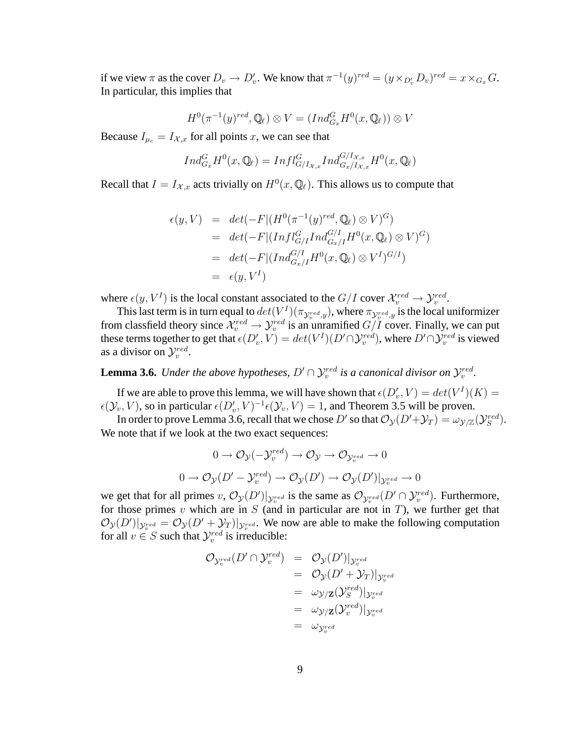if we view  $\pi$  as the cover  $D_v \to D'_v$ . We know that  $\pi^{-1}(y)^{red} = (y \times_{D'_v} D_v)^{red} = x \times_{G_x} G$ . In particular, this implies that

$$
H^0(\pi^{-1}(y)^{red}, \mathbb{Q}_\ell) \otimes V = (Ind_{G_x}^G H^0(x, \mathbb{Q}_\ell)) \otimes V
$$

Because  $I_{\mu_c} = I_{\mathcal{X},x}$  for all points x, we can see that

$$
Ind_{G_x}^G H^0(x, \mathbb{Q}_\ell) = Infl_{G/I_{\mathcal{X},x}}^G Ind_{G_x/I_{\mathcal{X},x}}^{G/I_{\mathcal{X},x}} H^0(x, \mathbb{Q}_\ell)
$$

Recall that  $I = I_{\mathcal{X},x}$  acts trivially on  $H^0(x, \mathbb{Q}_\ell)$ . This allows us to compute that

$$
\epsilon(y, V) = det(-F|(H^0(\pi^{-1}(y)^{red}, \mathbb{Q}_\ell) \otimes V)^G) \n= det(-F|(Inf_{G/I}^G Ind_{G_x/I}^{G/I} H^0(x, \mathbb{Q}_\ell) \otimes V)^G) \n= det(-F|(Ind_{G_x/I}^{G/I} H^0(x, \mathbb{Q}_\ell) \otimes V^I)^{G/I}) \n= \epsilon(y, V^I)
$$

where  $\epsilon(y, V^I)$  is the local constant associated to the  $G/I$  cover  $\mathcal{X}_v^{red} \to \mathcal{Y}_v^{red}$ .

This last term is in turn equal to  $det(V^I)(\pi_{\mathcal{Y}^{red}_{y},y})$ , where  $\pi_{\mathcal{Y}^{red}_{y},y}$  is the local uniformizer from classfield theory since  $\mathcal{X}_v^{red} \to \mathcal{Y}_v^{red}$  is an unramified  $G/I$  cover. Finally, we can put these terms together to get that  $\epsilon(D'_v,V) = det(V^I)(D'\cap \mathcal{Y}_v^{red}),$  where  $D'\cap \mathcal{Y}_v^{red}$  is viewed as a divisor on  $\mathcal{Y}_{v}^{red}$ .

**Lemma 3.6.** Under the above hypotheses,  $D' \cap \mathcal{Y}_v^{red}$  is a canonical divisor on  $\mathcal{Y}_v^{red}$ .

If we are able to prove this lemma, we will have shown that  $\epsilon(D'_v, V) = det(V^I)(K) =$  $\epsilon(\mathcal{Y}_v, V)$ , so in particular  $\epsilon(D'_v, V)^{-1} \epsilon(\mathcal{Y}_v, V) = 1$ , and Theorem 3.5 will be proven.

In order to prove Lemma 3.6, recall that we chose D' so that  $\mathcal{O}_{\mathcal{Y}}(D'+\mathcal{Y}_T) = \omega_{\mathcal{Y}/\mathbb{Z}}(\mathcal{Y}_S^{red})$ . We note that if we look at the two exact sequences:

$$
0 \to \mathcal{O}_{\mathcal{Y}}(-\mathcal{Y}_v^{red}) \to \mathcal{O}_{\mathcal{Y}} \to \mathcal{O}_{\mathcal{Y}_v^{red}} \to 0
$$
  

$$
0 \to \mathcal{O}_{\mathcal{Y}}(D' - \mathcal{Y}_v^{red}) \to \mathcal{O}_{\mathcal{Y}}(D') \to \mathcal{O}_{\mathcal{Y}}(D')|_{\mathcal{Y}_v^{red}} \to 0
$$

we get that for all primes  $v$ ,  $\mathcal{O}_{\mathcal{Y}}(D')|_{\mathcal{Y}^{red}_v}$  is the same as  $\mathcal{O}_{\mathcal{Y}^{red}_v}(D' \cap \mathcal{Y}^{red}_v)$ . Furthermore, for those primes v which are in  $S$  (and in particular are not in  $T$ ), we further get that  $\mathcal{O}_{\mathcal{Y}}(D')|_{\mathcal{Y}_{v}^{red}} = \mathcal{O}_{\mathcal{Y}}(D' + \mathcal{Y}_{T})|_{\mathcal{Y}_{v}^{red}}$ . We now are able to make the following computation for all  $v \in S$  such that  $\mathcal{Y}_v^{red}$  is irreducible:

$$
\begin{array}{rcl} \mathcal{O}_{\mathcal{Y}^{red}_v}(D'\cap \mathcal{Y}^{red}_v) & = & \mathcal{O}_{\mathcal{Y}}(D')|_{\mathcal{Y}^{red}_v} \\ & = & \mathcal{O}_{\mathcal{Y}}(D'+\mathcal{Y}_T)|_{\mathcal{Y}^{red}_v} \\ & = & \omega_{\mathcal{Y}/\mathbf{Z}}(\mathcal{Y}^{red}_S)|_{\mathcal{Y}^{red}_v} \\ & = & \omega_{\mathcal{Y}/\mathbf{Z}}(\mathcal{Y}^{red}_v)|_{\mathcal{Y}^{red}_v} \\ & = & \omega_{\mathcal{Y}^{red}_v} \end{array}
$$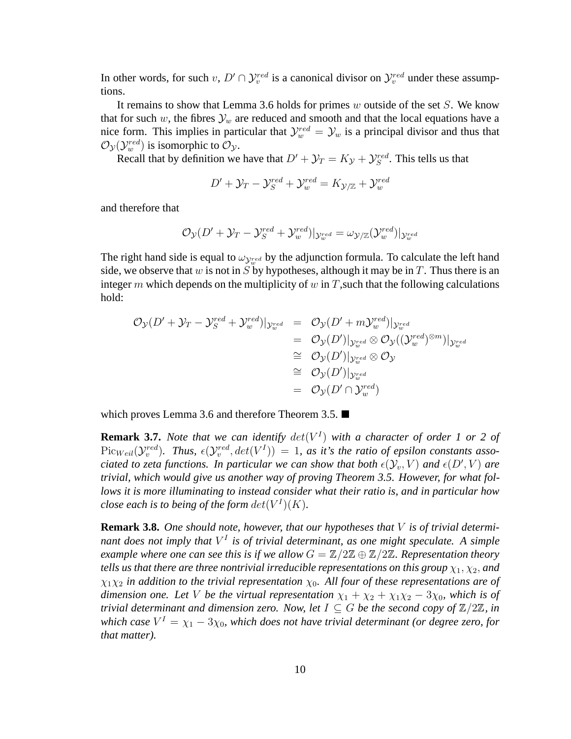In other words, for such  $v, D' \cap \mathcal{Y}_v^{red}$  is a canonical divisor on  $\mathcal{Y}_v^{red}$  under these assumptions.

It remains to show that Lemma 3.6 holds for primes  $w$  outside of the set  $S$ . We know that for such w, the fibres  $\mathcal{Y}_w$  are reduced and smooth and that the local equations have a nice form. This implies in particular that  $\mathcal{Y}_{w}^{red} = \mathcal{Y}_{w}$  is a principal divisor and thus that  $\mathcal{O}_{\mathcal{Y}}(\mathcal{Y}_{w}^{red})$  is isomorphic to  $\mathcal{O}_{\mathcal{Y}}$ .

Recall that by definition we have that  $D' + \mathcal{Y}_T = K_{\mathcal{Y}} + \mathcal{Y}_S^{red}$ . This tells us that

$$
D'+\mathcal{Y}_T-\mathcal{Y}_S^{red}+\mathcal{Y}_w^{red}=K_{\mathcal{Y}/\mathbb{Z}}+\mathcal{Y}_w^{red}
$$

and therefore that

$$
\mathcal{O}_\mathcal{Y}(D'+\mathcal{Y}_T-\mathcal{Y}_S^{red}+\mathcal{Y}_w^{red})|_{\mathcal{Y}_w^{red}}=\omega_{\mathcal{Y}/\mathbb{Z}}(\mathcal{Y}_w^{red})|_{\mathcal{Y}_w^{red}}
$$

The right hand side is equal to  $\omega_{y_{w}^{red}}$  by the adjunction formula. To calculate the left hand side, we observe that w is not in S by hypotheses, although it may be in T. Thus there is an integer m which depends on the multiplicity of w in T, such that the following calculations hold:

$$
\begin{array}{rcl} \mathcal{O}_{\mathcal{Y}}(D'+\mathcal{Y}_{T}-\mathcal{Y}_{S}^{red}+\mathcal{Y}_{w}^{red})|_{\mathcal{Y}_{w}^{red}}&=&\mathcal{O}_{\mathcal{Y}}(D'+m\mathcal{Y}_{w}^{red})|_{\mathcal{Y}_{w}^{red}}\\ &=&\mathcal{O}_{\mathcal{Y}}(D')|_{\mathcal{Y}_{w}^{red}}\otimes\mathcal{O}_{\mathcal{Y}}((\mathcal{Y}_{w}^{red})^{\otimes m})|_{\mathcal{Y}_{w}^{red}}\\ &\cong&\mathcal{O}_{\mathcal{Y}}(D')|_{\mathcal{Y}_{w}^{red}}\otimes\mathcal{O}_{\mathcal{Y}}\\ &\cong&\mathcal{O}_{\mathcal{Y}}(D')|_{\mathcal{Y}_{w}^{red}}\\ &=&\mathcal{O}_{\mathcal{Y}}(D'\cap\mathcal{Y}_{w}^{red})\end{array}
$$

which proves Lemma 3.6 and therefore Theorem 3.5. ■

**Remark 3.7.** *Note that we can identify*  $det(V^I)$  *with a character of order 1 or 2 of*  $Pic_{Weil}(\mathcal{Y}_v^{red})$ . Thus,  $\epsilon(\mathcal{Y}_v^{red}, det(V^I)) = 1$ , as it's the ratio of epsilon constants asso*ciated to zeta functions. In particular we can show that both*  $\epsilon(\mathcal{Y}_v, V)$  and  $\epsilon(D', V)$  are *trivial, which would give us another way of proving Theorem 3.5. However, for what follows it is more illuminating to instead consider what their ratio is, and in particular how close each is to being of the form*  $det(V^{I})(K)$ *.* 

**Remark 3.8.** *One should note, however, that our hypotheses that* V *is of trivial determinant does not imply that*  $V^I$  *is of trivial determinant, as one might speculate. A simple example where one can see this is if we allow*  $G = \mathbb{Z}/2\mathbb{Z} \oplus \mathbb{Z}/2\mathbb{Z}$ *. Representation theory tells us that there are three nontrivial irreducible representations on this group*  $\chi_1, \chi_2$ *, and*  $\chi_1 \chi_2$  *in addition to the trivial representation*  $\chi_0$ *. All four of these representations are of dimension one. Let V be the virtual representation*  $\chi_1 + \chi_2 + \chi_1 \chi_2 - 3\chi_0$ *, which is of trivial determinant and dimension zero. Now, let*  $I \subseteq G$  *be the second copy of*  $\mathbb{Z}/2\mathbb{Z}$ *, in which case*  $V^I = \chi_1 - 3\chi_0$ *, which does not have trivial determinant (or degree zero, for that matter).*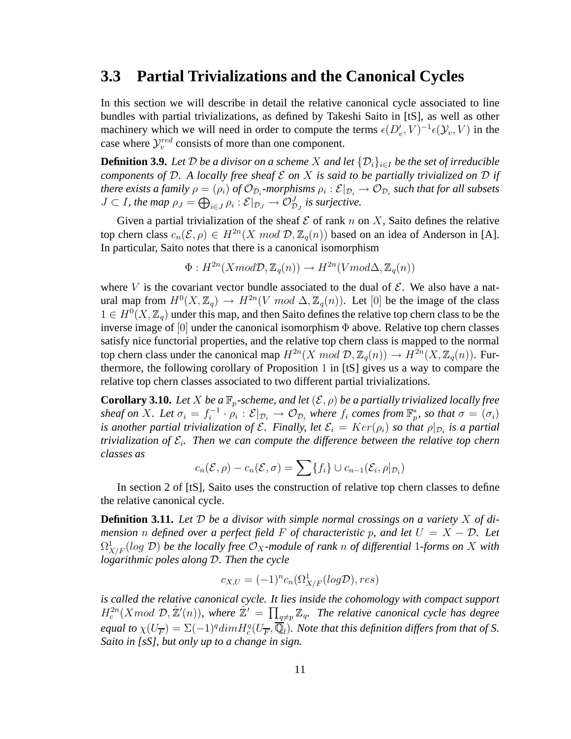### **3.3 Partial Trivializations and the Canonical Cycles**

In this section we will describe in detail the relative canonical cycle associated to line bundles with partial trivializations, as defined by Takeshi Saito in [tS], as well as other machinery which we will need in order to compute the terms  $\epsilon(D'_v, V)^{-1} \epsilon(\mathcal{Y}_v, V)$  in the case where  $y_{v}^{red}$  consists of more than one component.

**Definition 3.9.** *Let*  $D$  *be a divisor on a scheme*  $X$  *and let*  $\{D_i\}_{i\in I}$  *be the set of irreducible components of*  $D$ . A locally free sheaf  $E$  *on*  $X$  *is said to be partially trivialized on*  $D$  *if there exists a family*  $\rho = (\rho_i)$  *of*  $\mathcal{O}_{\mathcal{D}_i}$ *-morphisms*  $\rho_i : \mathcal{E}|_{\mathcal{D}_i} \to \mathcal{O}_{\mathcal{D}_i}$  *such that for all subsets*  $J \subset I$ , the map  $\rho_J = \bigoplus_{i \in J} \rho_i : \mathcal{E}|_{\mathcal{D}_J} \to \mathcal{O}_{\mathcal{D}_J}^J$  is surjective.

Given a partial trivialization of the sheaf  $\mathcal E$  of rank n on X, Saito defines the relative top chern class  $c_n(\mathcal{E}, \rho) \in H^{2n}(X \mod \mathcal{D}, \mathbb{Z}_q(n))$  based on an idea of Anderson in [A]. In particular, Saito notes that there is a canonical isomorphism

$$
\Phi: H^{2n}(Xmod\mathcal{D}, \mathbb{Z}_q(n)) \to H^{2n}(Vmod\Delta, \mathbb{Z}_q(n))
$$

where V is the covariant vector bundle associated to the dual of  $\mathcal{E}$ . We also have a natural map from  $H^0(X, \mathbb{Z}_q) \to H^{2n}(V \mod \Delta, \mathbb{Z}_q(n))$ . Let [0] be the image of the class  $1 \in H^0(X, \mathbb{Z}_q)$  under this map, and then Saito defines the relative top chern class to be the inverse image of [0] under the canonical isomorphism  $\Phi$  above. Relative top chern classes satisfy nice functorial properties, and the relative top chern class is mapped to the normal top chern class under the canonical map  $H^{2n}(X \mod D, \mathbb{Z}_q(n)) \to H^{2n}(X, \mathbb{Z}_q(n))$ . Furthermore, the following corollary of Proposition 1 in [tS] gives us a way to compare the relative top chern classes associated to two different partial trivializations.

**Corollary 3.10.** Let X be a  $\mathbb{F}_p$ -scheme, and let  $(\mathcal{E}, \rho)$  be a partially trivialized locally free *sheaf on* X*.* Let  $\sigma_i = f_i^{-1} \cdot \rho_i : \mathcal{E}|_{\mathcal{D}_i} \to \mathcal{O}_{\mathcal{D}_i}$  where  $f_i$  comes from  $\mathbb{F}_p^*$ , so that  $\sigma = (\sigma_i)$ *is another partial trivialization of*  $\mathcal{E}$ *. Finally, let*  $\mathcal{E}_i = Ker(\rho_i)$  *so that*  $\rho|_{\mathcal{D}_i}$  *is a partial trivialization of*  $\mathcal{E}_i$ . Then we can compute the difference between the relative top chern *classes as*

$$
c_n(\mathcal{E}, \rho) - c_n(\mathcal{E}, \sigma) = \sum \{f_i\} \cup c_{n-1}(\mathcal{E}_i, \rho|_{\mathcal{D}_i})
$$

In section 2 of [tS], Saito uses the construction of relative top chern classes to define the relative canonical cycle.

**Definition 3.11.** *Let* D *be a divisor with simple normal crossings on a variety* X *of dimension n defined over a perfect field*  $F$  *of characteristic*  $p$ *, and let*  $U = X - D$ *. Let*  $\Omega^1_{X/F}(\log \mathcal{D})$  be the locally free  $\mathcal{O}_X$ -module of rank n of differential 1-forms on  $X$  with *logarithmic poles along* D*. Then the cycle*

$$
c_{X,U} = (-1)^n c_n(\Omega^1_{X/F}(log \mathcal{D}), res)
$$

*is called the relative canonical cycle. It lies inside the cohomology with compact support*  $H_c^{2n}(X \mod D, \hat{\mathbb{Z}}'(n))$ , where  $\hat{\mathbb{Z}}' = \prod_{q \neq p} \mathbb{Z}_q$ . The relative canonical cycle has degree *equal to*  $\chi(U_{\overline{F}}) = \Sigma (-1)^q dim H^q_c(U_{\overline{F}}, \overline{\overline{\mathbb{Q}}_l})$ . Note that this definition differs from that of S. *Saito in [sS], but only up to a change in sign.*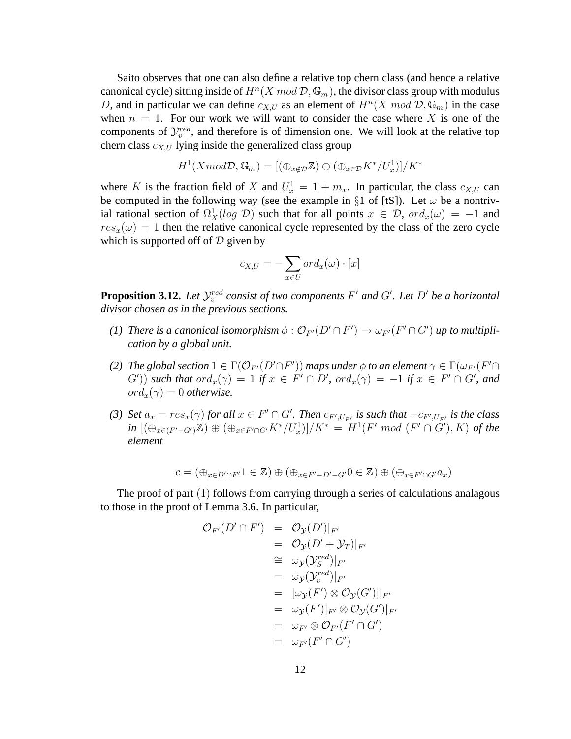Saito observes that one can also define a relative top chern class (and hence a relative canonical cycle) sitting inside of  $H^n(X \mod \mathcal{D}, \mathbb{G}_m)$ , the divisor class group with modulus D, and in particular we can define  $c_{X,U}$  as an element of  $H^n(X \mod \mathcal{D}, \mathbb{G}_m)$  in the case when  $n = 1$ . For our work we will want to consider the case where X is one of the components of  $\mathcal{Y}_{v}^{red}$ , and therefore is of dimension one. We will look at the relative top chern class  $c_{X,U}$  lying inside the generalized class group

$$
H^1(Xmod\mathcal{D}, \mathbb{G}_m) = [(\bigoplus_{x \notin \mathcal{D}} \mathbb{Z}) \oplus (\bigoplus_{x \in \mathcal{D}} K^*/U_x^1)]/K^*
$$

where K is the fraction field of X and  $U_x^1 = 1 + m_x$ . In particular, the class  $c_{X,U}$  can be computed in the following way (see the example in §1 of [tS]). Let  $\omega$  be a nontrivial rational section of  $\Omega_X^1(log\mathcal{D})$  such that for all points  $x \in \mathcal{D}$ ,  $ord_x(\omega) = -1$  and  $res_x(\omega)=1$  then the relative canonical cycle represented by the class of the zero cycle which is supported off of  $D$  given by

$$
c_{X,U} = -\sum_{x \in U} ord_x(\omega) \cdot [x]
$$

**Proposition 3.12.** Let  $\mathcal{Y}^{red}_v$  consist of two components  $F'$  and  $G'$ . Let  $D'$  be a horizontal *divisor chosen as in the previous sections.*

- *(1)* There is a canonical isomorphism  $\phi$  :  $\mathcal{O}_{F'}(D' \cap F') \to \omega_{F'}(F' \cap G')$  up to multipli*cation by a global unit.*
- *(2)* The global section  $1 \in \Gamma(\mathcal{O}_{F'}(D' \cap F'))$  maps under  $\phi$  to an element  $\gamma \in \Gamma(\omega_{F'}(F' \cap F'))$  $(G')$ ) *such that*  $ord_x(\gamma) = 1$  *if*  $x \in F' \cap D'$ ,  $ord_x(\gamma) = -1$  *if*  $x \in F' \cap G'$ , and  $ord_x(\gamma)=0$  *otherwise.*
- (3) Set  $a_x = res_x(\gamma)$  *for all*  $x \in F' \cap G'$ . Then  $c_{F',U_{F'}}$  is such that  $-c_{F',U_{F'}}$  is the class  $in \ [\ (\oplus_{x \in (F' - G')} \mathbb{Z}) \oplus (\oplus_{x \in F' \cap G'} K^* / U_x^1)]/K^* = H^1(F' \mod (F' \cap G'), K)$  *of the element*

$$
c=(\oplus_{x\in D'\cap F'}1\in\mathbb{Z})\oplus(\oplus_{x\in F'-D'-G'}0\in\mathbb{Z})\oplus(\oplus_{x\in F'\cap G'}a_x)
$$

The proof of part (1) follows from carrying through a series of calculations analagous to those in the proof of Lemma 3.6. In particular,

$$
\begin{array}{rcl}\n\mathcal{O}_{F'}(D' \cap F') & = & \mathcal{O}_{\mathcal{Y}}(D')|_{F'} \\
& = & \mathcal{O}_{\mathcal{Y}}(D' + \mathcal{Y}_T)|_{F'} \\
& \cong & \omega_{\mathcal{Y}}(\mathcal{Y}_S^{red})|_{F'} \\
& = & \omega_{\mathcal{Y}}(\mathcal{Y}_v^{red})|_{F'} \\
& = & [\omega_{\mathcal{Y}}(F') \otimes \mathcal{O}_{\mathcal{Y}}(G')]|_{F'} \\
& = & \omega_{\mathcal{Y}}(F')|_{F'} \otimes \mathcal{O}_{\mathcal{Y}}(G')|_{F'} \\
& = & \omega_{F'} \otimes \mathcal{O}_{F'}(F' \cap G') \\
& = & \omega_{F'}(F' \cap G')\n\end{array}
$$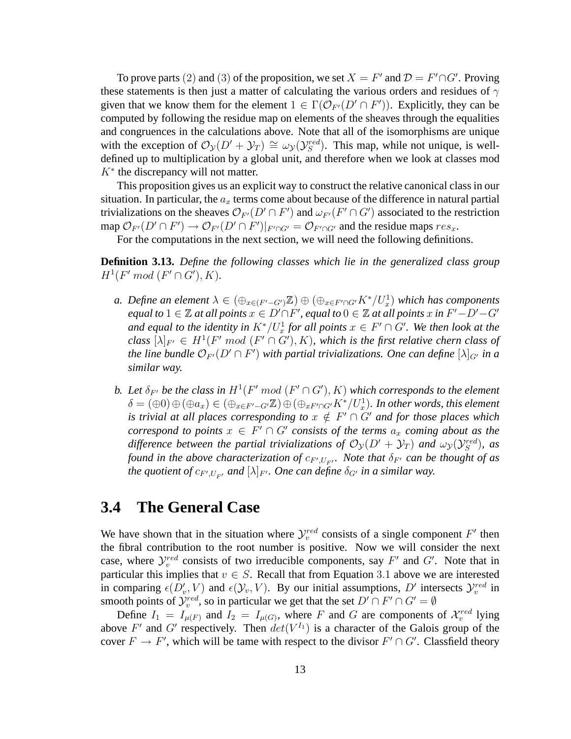To prove parts (2) and (3) of the proposition, we set  $X = F'$  and  $\mathcal{D} = F' \cap G'$ . Proving these statements is then just a matter of calculating the various orders and residues of  $\gamma$ given that we know them for the element  $1 \in \Gamma(\mathcal{O}_{F'}(D' \cap F'))$ . Explicitly, they can be computed by following the residue map on elements of the sheaves through the equalities and congruences in the calculations above. Note that all of the isomorphisms are unique with the exception of  $\mathcal{O}_{\mathcal{Y}}(D' + \mathcal{Y}_T) \cong \omega_{\mathcal{Y}}(\mathcal{Y}_S^{red})$ . This map, while not unique, is welldefined up to multiplication by a global unit, and therefore when we look at classes mod  $K^*$  the discrepancy will not matter.

This proposition gives us an explicit way to construct the relative canonical class in our situation. In particular, the  $a_x$  terms come about because of the difference in natural partial trivializations on the sheaves  $\mathcal{O}_{F'}(D' \cap F')$  and  $\omega_{F'}(F' \cap G')$  associated to the restriction map  $\mathcal{O}_{F'}(D' \cap F') \to \mathcal{O}_{F'}(D' \cap F')|_{F' \cap G'} = \mathcal{O}_{F' \cap G'}$  and the residue maps  $res_x$ .

For the computations in the next section, we will need the following definitions.

**Definition 3.13.** *Define the following classes which lie in the generalized class group*  $H^1(F' \mod (F' \cap G'), K).$ 

- *a. Define an element*  $\lambda \in (\bigoplus_{x \in (F'-G')}\mathbb{Z}) \oplus (\bigoplus_{x \in F'\cap G'}K^*/U^1_x)$  which has components  $\emph{equal to } 1 \in \mathbb{Z}$  at all points  $x \in D' \cap F'$ , equal to  $0 \in \mathbb{Z}$  at all points  $x$  in  $F'-D'-G'$ and equal to the identity in  $K^*/U_x^1$  for all points  $x \in F' \cap G'$ . We then look at the  $class [\lambda]_{F'} \in H^1(F' \mod (F' \cap \tilde{G}'), K)$ , which is the first relative chern class of *the line bundle*  $\mathcal{O}_{F'}(D' \cap F')$  with partial trivializations. One can define  $[\lambda]_{G'}$  in a *similar way.*
- *b.* Let  $\delta_{F'}$  be the class in  $H^1(F' \mod (F' \cap G'), K)$  which corresponds to the element  $\delta=(\oplus 0)\oplus (\oplus a_x)\in (\oplus_{x\in F'-G'}{\mathbb Z})\oplus (\oplus_{xF'\cap G'}K^*/U_x^1)$ . In other words, this element *is trivial at all places corresponding to*  $x \notin F' \cap G'$  *and for those places which correspond to points*  $x \in F' \cap G'$  *consists of the terms*  $a_x$  *coming about as the* difference between the partial trivializations of  $\mathcal{O}_{\mathcal{Y}}(D' + \mathcal{Y}_T)$  and  $\omega_{\mathcal{Y}}(\mathcal{Y}_S^{red})$ , as *found in the above characterization of*  $c_{F',U_{F'}}$ *. Note that*  $\delta_{F'}$  *can be thought of as the quotient of*  $c_{F',U_{F'}}$  *and*  $[\lambda]_{F'}$ *. One can define*  $\delta_{G'}$  *in a similar way.*

### **3.4 The General Case**

We have shown that in the situation where  $\mathcal{Y}_{v}^{red}$  consists of a single component  $F'$  then the fibral contribution to the root number is positive. Now we will consider the next case, where  $\mathcal{Y}_{v}^{red}$  consists of two irreducible components, say  $F'$  and  $G'$ . Note that in particular this implies that  $v \in S$ . Recall that from Equation 3.1 above we are interested in comparing  $\epsilon(D'_v, V)$  and  $\epsilon(\mathcal{Y}_v, V)$ . By our initial assumptions, D' intersects  $\mathcal{Y}_v^{red}$  in smooth points of  $\mathcal{Y}_v^{red}$ , so in particular we get that the set  $D' \cap F' \cap G' = \emptyset$ 

Define  $I_1 = I_{\mu(F)}$  and  $I_2 = I_{\mu(G)}$ , where F and G are components of  $\mathcal{X}_v^{red}$  lying above F' and G' respectively. Then  $det(V^{I_1})$  is a character of the Galois group of the cover  $F \to F'$ , which will be tame with respect to the divisor  $F' \cap G'$ . Classfield theory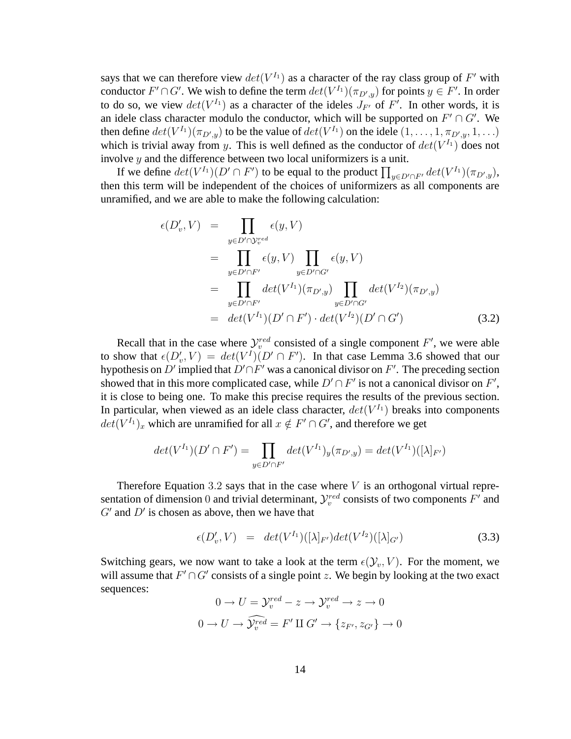says that we can therefore view  $det(V^{I_1})$  as a character of the ray class group of F' with conductor  $F' \cap G'$ . We wish to define the term  $det(V^{I_1})(\pi_{D',y})$  for points  $y \in F'$ . In order to do so, we view  $det(V^{I_1})$  as a character of the ideles  $J_{F'}$  of F'. In other words, it is an idele class character modulo the conductor, which will be supported on  $F' \cap G'$ . We then define  $det(V^{I_1})(\pi_{D',y})$  to be the value of  $det(V^{I_1})$  on the idele  $(1,\ldots,1,\pi_{D',y},1,\ldots)$ which is trivial away from y. This is well defined as the conductor of  $det(V^{I_1})$  does not involve  $y$  and the difference between two local uniformizers is a unit.

If we define  $det(V^{I_1})(D' \cap F')$  to be equal to the product  $\prod_{y \in D' \cap F'} det(V^{I_1})(\pi_{D',y}),$ then this term will be independent of the choices of uniformizers as all components are unramified, and we are able to make the following calculation:

$$
\epsilon(D'_v, V) = \prod_{y \in D' \cap \mathcal{Y}_v^{red}} \epsilon(y, V)
$$
  
\n
$$
= \prod_{y \in D' \cap F'} \epsilon(y, V) \prod_{y \in D' \cap G'} \epsilon(y, V)
$$
  
\n
$$
= \prod_{y \in D' \cap F'} \det(V^{I_1})(\pi_{D', y}) \prod_{y \in D' \cap G'} \det(V^{I_2})(\pi_{D', y})
$$
  
\n
$$
= \det(V^{I_1})(D' \cap F') \cdot \det(V^{I_2})(D' \cap G')
$$
(3.2)

Recall that in the case where  $\mathcal{Y}_v^{red}$  consisted of a single component F', we were able to show that  $\epsilon(D'_v, V) = det(V^I)(D' \cap F')$ . In that case Lemma 3.6 showed that our hypothesis on  $D'$  implied that  $D' \cap F'$  was a canonical divisor on  $F'.$  The preceding section showed that in this more complicated case, while  $D' \cap F'$  is not a canonical divisor on  $F'$ , it is close to being one. To make this precise requires the results of the previous section. In particular, when viewed as an idele class character,  $det(V^{I_1})$  breaks into components  $det(V^{I_1})_x$  which are unramified for all  $x \notin F' \cap G'$ , and therefore we get

$$
det(V^{I_1})(D' \cap F') = \prod_{y \in D' \cap F'} det(V^{I_1})_y(\pi_{D',y}) = det(V^{I_1})([\lambda]_{F'})
$$

Therefore Equation 3.2 says that in the case where  $V$  is an orthogonal virtual representation of dimension 0 and trivial determinant,  $\mathcal{Y}^{red}_v$  consists of two components  $F'$  and  $G'$  and  $D'$  is chosen as above, then we have that

$$
\epsilon(D'_v, V) = det(V^{I_1})([\lambda]_{F'})det(V^{I_2})([\lambda]_{G'})
$$
\n(3.3)

Switching gears, we now want to take a look at the term  $\epsilon(\mathcal{Y}_v, V)$ . For the moment, we will assume that  $F' \cap G'$  consists of a single point z. We begin by looking at the two exact sequences:

$$
0 \to U = \mathcal{Y}_v^{red} - z \to \mathcal{Y}_v^{red} \to z \to 0
$$

$$
0 \to U \to \widehat{\mathcal{Y}_v^{red}} = F' \amalg G' \to \{z_{F'}, z_{G'}\} \to 0
$$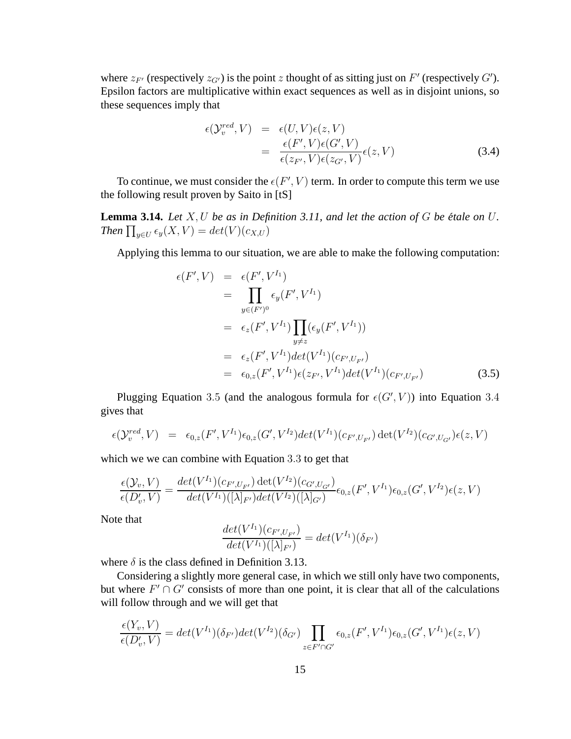where  $z_{F'}$  (respectively  $z_{G'}$ ) is the point z thought of as sitting just on  $F'$  (respectively  $G'$ ). Epsilon factors are multiplicative within exact sequences as well as in disjoint unions, so these sequences imply that

$$
\epsilon(\mathcal{Y}_v^{red}, V) = \epsilon(U, V)\epsilon(z, V)
$$
  
= 
$$
\frac{\epsilon(F', V)\epsilon(G', V)}{\epsilon(z_{F'}, V)\epsilon(z_{G'}, V)}\epsilon(z, V)
$$
 (3.4)

To continue, we must consider the  $\epsilon(F', V)$  term. In order to compute this term we use the following result proven by Saito in [tS]

**Lemma 3.14.** Let  $X, U$  be as in Definition 3.11, and let the action of  $G$  be étale on  $U$ . *Then*  $\prod_{y \in U} \epsilon_y(X, V) = det(V)(c_{X,U})$ 

Applying this lemma to our situation, we are able to make the following computation:

$$
\epsilon(F', V) = \epsilon(F', V^{I_1})
$$
  
\n
$$
= \prod_{y \in (F')^0} \epsilon_y(F', V^{I_1})
$$
  
\n
$$
= \epsilon_z(F', V^{I_1}) \prod_{y \neq z} (\epsilon_y(F', V^{I_1}))
$$
  
\n
$$
= \epsilon_z(F', V^{I_1}) det(V^{I_1}) (c_{F', U_{F'}})
$$
  
\n
$$
= \epsilon_{0,z}(F', V^{I_1}) \epsilon(z_{F'}, V^{I_1}) det(V^{I_1}) (c_{F', U_{F'}})
$$
\n(3.5)

Plugging Equation 3.5 (and the analogous formula for  $\epsilon(G', V)$ ) into Equation 3.4 gives that

$$
\epsilon(\mathcal{Y}_v^{red}, V) = \epsilon_{0,z}(F', V^{I_1}) \epsilon_{0,z}(G', V^{I_2}) \det(V^{I_1})(c_{F', U_{F'}}) \det(V^{I_2})(c_{G', U_{G'}}) \epsilon(z, V)
$$

which we we can combine with Equation 3.3 to get that

$$
\frac{\epsilon(\mathcal{Y}_{v}, V)}{\epsilon(D'_{v}, V)} = \frac{\det(V^{I_{1}})(c_{F', U_{F'}}) \det(V^{I_{2}})(c_{G', U_{G'}})}{\det(V^{I_{1}})([\lambda]_{F'}) \det(V^{I_{2}})([\lambda]_{G'})} \epsilon_{0,z}(F', V^{I_{1}}) \epsilon_{0,z}(G', V^{I_{2}}) \epsilon(z, V)
$$

Note that

$$
\frac{det(V^{I_1})(c_{F',U_{F'}})}{det(V^{I_1})([\lambda]_{F'})}=det(V^{I_1})(\delta_{F'})
$$

where  $\delta$  is the class defined in Definition 3.13.

Considering a slightly more general case, in which we still only have two components, but where  $F' \cap G'$  consists of more than one point, it is clear that all of the calculations will follow through and we will get that

$$
\frac{\epsilon(Y_v, V)}{\epsilon(D'_v, V)} = det(V^{I_1})(\delta_{F'})det(V^{I_2})(\delta_{G'}) \prod_{z \in F' \cap G'} \epsilon_{0,z}(F', V^{I_1})\epsilon_{0,z}(G', V^{I_1})\epsilon(z, V)
$$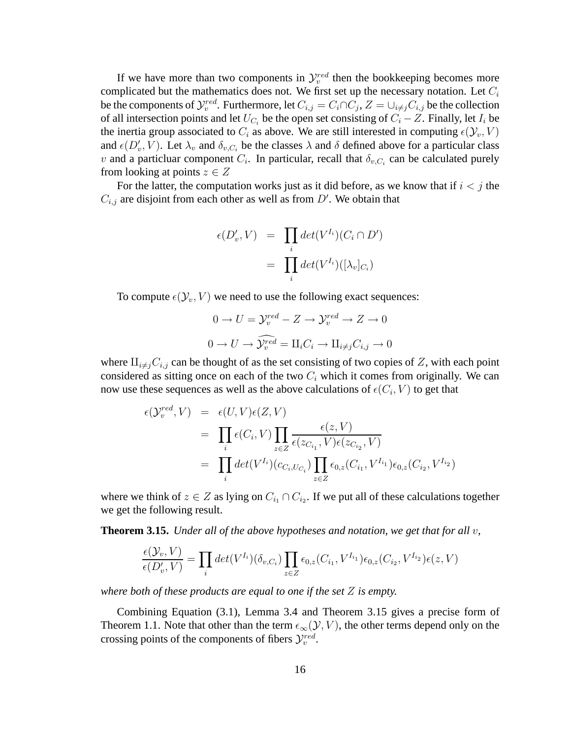If we have more than two components in  $\mathcal{Y}_v^{red}$  then the bookkeeping becomes more complicated but the mathematics does not. We first set up the necessary notation. Let  $C_i$ be the components of  $\mathcal{Y}_v^{red}.$  Furthermore, let  $C_{i,j}=C_i\cap C_j,$   $Z=\cup_{i\neq j}C_{i,j}$  be the collection of all intersection points and let  $U_{C_i}$  be the open set consisting of  $C_i - Z$ . Finally, let  $I_i$  be the inertia group associated to  $C_i$  as above. We are still interested in computing  $\epsilon(\mathcal{Y}_v, V)$ and  $\epsilon(D'_v, V)$ . Let  $\lambda_v$  and  $\delta_{v,C_i}$  be the classes  $\lambda$  and  $\delta$  defined above for a particular class v and a particluar component  $C_i$ . In particular, recall that  $\delta_{v,C_i}$  can be calculated purely from looking at points  $z \in Z$ 

For the latter, the computation works just as it did before, as we know that if  $i < j$  the  $C_{i,j}$  are disjoint from each other as well as from  $D'$ . We obtain that

$$
\epsilon(D'_v, V) = \prod_i det(V^{I_i})(C_i \cap D')
$$
  
= 
$$
\prod_i det(V^{I_i})([\lambda_v]_{C_i})
$$

To compute  $\epsilon(\mathcal{Y}_v, V)$  we need to use the following exact sequences:

$$
0 \to U = \mathcal{Y}_v^{red} - Z \to \mathcal{Y}_v^{red} \to Z \to 0
$$

$$
0 \to U \to \widehat{\mathcal{Y}_v^{red}} = \amalg_i C_i \to \amalg_{i \neq j} C_{i,j} \to 0
$$

where  $\prod_{i\neq j}C_{i,j}$  can be thought of as the set consisting of two copies of Z, with each point considered as sitting once on each of the two  $C_i$  which it comes from originally. We can now use these sequences as well as the above calculations of  $\epsilon(C_i, V)$  to get that

$$
\epsilon(\mathcal{Y}_v^{red}, V) = \epsilon(U, V)\epsilon(Z, V)
$$
  
= 
$$
\prod_i \epsilon(C_i, V) \prod_{z \in Z} \frac{\epsilon(z, V)}{\epsilon(z_{C_{i_1}}, V)\epsilon(z_{C_{i_2}}, V)}
$$
  
= 
$$
\prod_i det(V^{I_i})(c_{C_i, U_{C_i}}) \prod_{z \in Z} \epsilon_{0, z}(C_{i_1}, V^{I_{i_1}})\epsilon_{0, z}(C_{i_2}, V^{I_{i_2}})
$$

where we think of  $z \in Z$  as lying on  $C_{i_1} \cap C_{i_2}$ . If we put all of these calculations together we get the following result.

**Theorem 3.15.** *Under all of the above hypotheses and notation, we get that for all* v*,*

$$
\frac{\epsilon(\mathcal{Y}_v, V)}{\epsilon(D'_v, V)} = \prod_i det(V^{I_i})(\delta_{v,C_i}) \prod_{z \in Z} \epsilon_{0,z}(C_{i_1}, V^{I_{i_1}})\epsilon_{0,z}(C_{i_2}, V^{I_{i_2}})\epsilon(z, V)
$$

*where both of these products are equal to one if the set* Z *is empty.*

Combining Equation (3.1), Lemma 3.4 and Theorem 3.15 gives a precise form of Theorem 1.1. Note that other than the term  $\epsilon_{\infty}(\mathcal{Y}, V)$ , the other terms depend only on the crossing points of the components of fibers  $\mathcal{Y}_v^{red}$ .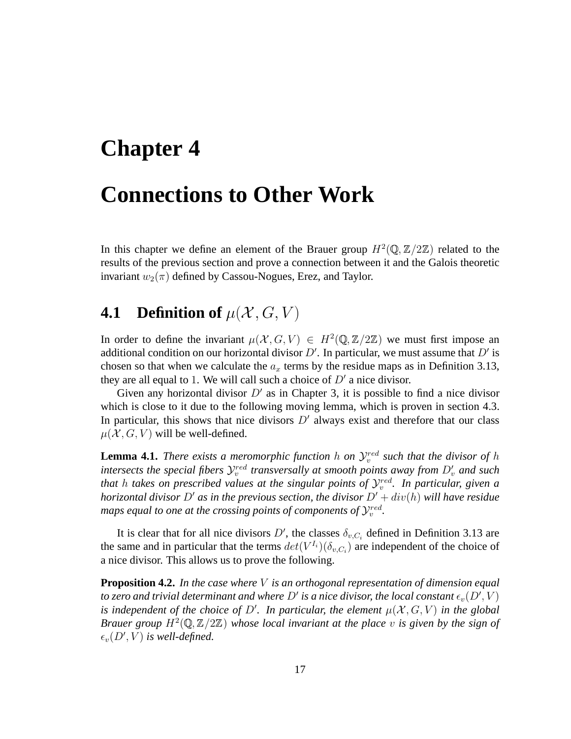# **Chapter 4**

# **Connections to Other Work**

In this chapter we define an element of the Brauer group  $H^2(\mathbb{Q}, \mathbb{Z}/2\mathbb{Z})$  related to the results of the previous section and prove a connection between it and the Galois theoretic invariant  $w_2(\pi)$  defined by Cassou-Nogues, Erez, and Taylor.

### **4.1 Definition of**  $\mu(\mathcal{X}, G, V)$

In order to define the invariant  $\mu(\mathcal{X}, G, V) \in H^2(\mathbb{Q}, \mathbb{Z}/2\mathbb{Z})$  we must first impose an additional condition on our horizontal divisor  $D'$ . In particular, we must assume that  $D'$  is chosen so that when we calculate the  $a_x$  terms by the residue maps as in Definition 3.13, they are all equal to 1. We will call such a choice of  $D'$  a nice divisor.

Given any horizontal divisor  $D<sup>'</sup>$  as in Chapter 3, it is possible to find a nice divisor which is close to it due to the following moving lemma, which is proven in section 4.3. In particular, this shows that nice divisors  $D'$  always exist and therefore that our class  $\mu(\mathcal{X}, G, V)$  will be well-defined.

**Lemma 4.1.** *There exists a meromorphic function*  $h$  *on*  $\mathcal{Y}_v^{red}$  *such that the divisor of*  $h$ intersects the special fibers  $\mathcal{Y}^{red}_v$  transversally at smooth points away from  $D'_v$  and such *that h takes on prescribed values at the singular points of*  $\mathcal{Y}^{red}_{v}$ *. In particular, given a horizontal divisor*  $D'$  *as in the previous section, the divisor*  $D' + div(h)$  *will have residue* maps equal to one at the crossing points of components of  $\mathcal{Y}^{red}_{v}.$ 

It is clear that for all nice divisors D', the classes  $\delta_{v,C_i}$  defined in Definition 3.13 are the same and in particular that the terms  $det(V^{I_i})(\delta_{v,C_i})$  are independent of the choice of a nice divisor. This allows us to prove the following.

**Proposition 4.2.** *In the case where* V *is an orthogonal representation of dimension equal to zero and trivial determinant and where*  $D'$  *is a nice divisor, the local constant*  $\epsilon_v(D',V)$ *is independent of the choice of D'. In particular, the element*  $\mu(\mathcal{X}, G, V)$  *in the global Brauer group*  $H^2(\mathbb{Q}, \mathbb{Z}/2\mathbb{Z})$  whose local invariant at the place v is given by the sign of  $\epsilon_v(D',V)$  is well-defined.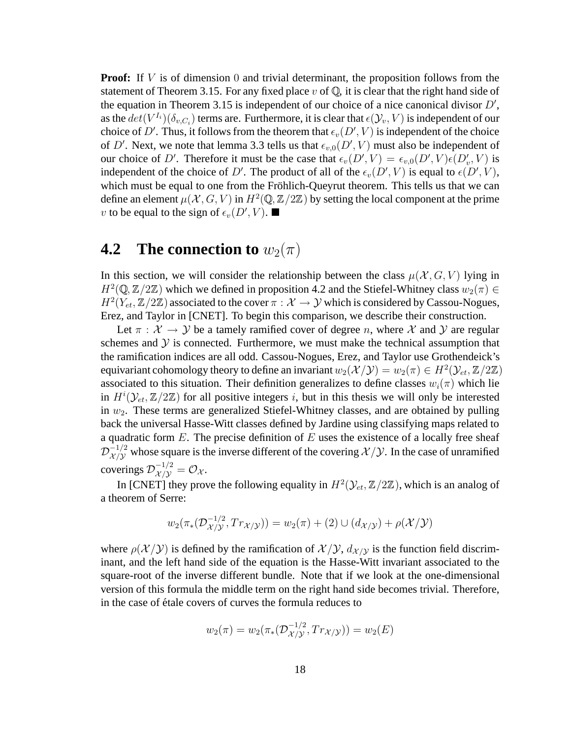**Proof:** If V is of dimension 0 and trivial determinant, the proposition follows from the statement of Theorem 3.15. For any fixed place  $v$  of  $\mathbb{Q}$ , it is clear that the right hand side of the equation in Theorem 3.15 is independent of our choice of a nice canonical divisor  $D'$ , as the  $det(V^{I_i})(\delta_{v,C_i})$  terms are. Furthermore, it is clear that  $\epsilon(\mathcal{Y}_v, V)$  is independent of our choice of D'. Thus, it follows from the theorem that  $\epsilon_v(D', V)$  is independent of the choice of D'. Next, we note that lemma 3.3 tells us that  $\epsilon_{v,0}(D',V)$  must also be independent of our choice of D'. Therefore it must be the case that  $\epsilon_v(D', V) = \epsilon_{v,0}(D', V)\epsilon(D'_v, V)$  is independent of the choice of D'. The product of all of the  $\epsilon_v(D', V)$  is equal to  $\epsilon(D', V)$ , which must be equal to one from the Fröhlich-Queyrut theorem. This tells us that we can define an element  $\mu(\mathcal{X}, G, V)$  in  $H^2(\mathbb{Q}, \mathbb{Z}/2\mathbb{Z})$  by setting the local component at the prime v to be equal to the sign of  $\epsilon_v(D', V)$ .

### **4.2** The connection to  $w_2(\pi)$

In this section, we will consider the relationship between the class  $\mu(\mathcal{X}, G, V)$  lying in  $H^2(\mathbb{Q}, \mathbb{Z}/2\mathbb{Z})$  which we defined in proposition 4.2 and the Stiefel-Whitney class  $w_2(\pi) \in$  $H^2(Y_{et}, \mathbb{Z}/2\mathbb{Z})$  associated to the cover  $\pi : \mathcal{X} \to \mathcal{Y}$  which is considered by Cassou-Nogues, Erez, and Taylor in [CNET]. To begin this comparison, we describe their construction.

Let  $\pi : \mathcal{X} \to \mathcal{Y}$  be a tamely ramified cover of degree n, where X and Y are regular schemes and  $Y$  is connected. Furthermore, we must make the technical assumption that the ramification indices are all odd. Cassou-Nogues, Erez, and Taylor use Grothendeick's equivariant cohomology theory to define an invariant  $w_2(\mathcal{X}/\mathcal{Y}) = w_2(\pi) \in H^2(\mathcal{Y}_{et}, \mathbb{Z}/2\mathbb{Z})$ associated to this situation. Their definition generalizes to define classes  $w_i(\pi)$  which lie in  $H^i(\mathcal{Y}_{et}, \mathbb{Z}/2\mathbb{Z})$  for all positive integers i, but in this thesis we will only be interested in  $w_2$ . These terms are generalized Stiefel-Whitney classes, and are obtained by pulling back the universal Hasse-Witt classes defined by Jardine using classifying maps related to a quadratic form  $E$ . The precise definition of  $E$  uses the existence of a locally free sheaf  $\mathcal{D}_{\mathcal{X}}^{-1/2}$  whose square is the inverse different of the covering  $\mathcal{X}/\mathcal{Y}$ . In the case of unramified coverings  $\mathcal{D}_{\mathcal{X}/\mathcal{Y}}^{-1/2} = \mathcal{O}_{\mathcal{X}}$ .

In [CNET] they prove the following equality in  $H^2(\mathcal{Y}_{et}, \mathbb{Z}/2\mathbb{Z})$ , which is an analog of a theorem of Serre:

$$
w_2(\pi_*(\mathcal{D}_{\mathcal{X}/\mathcal{Y}}^{-1/2}, Tr_{\mathcal{X}/\mathcal{Y}})) = w_2(\pi) + (2) \cup (d_{\mathcal{X}/\mathcal{Y}}) + \rho(\mathcal{X}/\mathcal{Y})
$$

where  $\rho(\mathcal{X}/\mathcal{Y})$  is defined by the ramification of  $\mathcal{X}/\mathcal{Y}$ ,  $d_{\mathcal{X}/\mathcal{Y}}$  is the function field discriminant, and the left hand side of the equation is the Hasse-Witt invariant associated to the square-root of the inverse different bundle. Note that if we look at the one-dimensional version of this formula the middle term on the right hand side becomes trivial. Therefore, in the case of étale covers of curves the formula reduces to

$$
w_2(\pi) = w_2(\pi_*(\mathcal{D}_{\mathcal{X}/\mathcal{Y}}^{-1/2}, Tr_{\mathcal{X}/\mathcal{Y}})) = w_2(E)
$$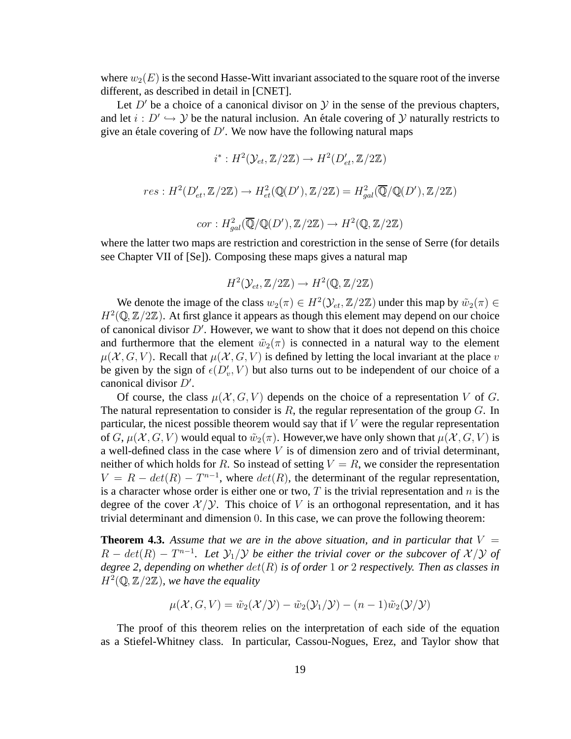where  $w_2(E)$  is the second Hasse-Witt invariant associated to the square root of the inverse different, as described in detail in [CNET].

Let  $D'$  be a choice of a canonical divisor on  $Y$  in the sense of the previous chapters, and let  $i : D' \hookrightarrow \mathcal{Y}$  be the natural inclusion. An étale covering of  $\mathcal{Y}$  naturally restricts to give an étale covering of  $D'$ . We now have the following natural maps

$$
i^*: H^2(\mathcal{Y}_{et}, \mathbb{Z}/2\mathbb{Z}) \to H^2(D'_{et}, \mathbb{Z}/2\mathbb{Z})
$$
  

$$
res: H^2(D'_{et}, \mathbb{Z}/2\mathbb{Z}) \to H^2_{et}(\mathbb{Q}(D'), \mathbb{Z}/2\mathbb{Z}) = H^2_{gal}(\overline{\mathbb{Q}}/\mathbb{Q}(D'), \mathbb{Z}/2\mathbb{Z})
$$
  

$$
cor: H^2_{gal}(\overline{\mathbb{Q}}/\mathbb{Q}(D'), \mathbb{Z}/2\mathbb{Z}) \to H^2(\mathbb{Q}, \mathbb{Z}/2\mathbb{Z})
$$

where the latter two maps are restriction and corestriction in the sense of Serre (for details see Chapter VII of [Se]). Composing these maps gives a natural map

$$
H^2(\mathcal{Y}_{et},\mathbb{Z}/2\mathbb{Z})\to H^2(\mathbb{Q},\mathbb{Z}/2\mathbb{Z})
$$

We denote the image of the class  $w_2(\pi) \in H^2(\mathcal{Y}_{et}, \mathbb{Z}/2\mathbb{Z})$  under this map by  $\tilde{w}_2(\pi) \in$  $H^2(\mathbb{Q}, \mathbb{Z}/2\mathbb{Z})$ . At first glance it appears as though this element may depend on our choice of canonical divisor  $D'$ . However, we want to show that it does not depend on this choice and furthermore that the element  $\tilde{w}_2(\pi)$  is connected in a natural way to the element  $\mu(X, G, V)$ . Recall that  $\mu(X, G, V)$  is defined by letting the local invariant at the place v be given by the sign of  $\epsilon(D_v', V)$  but also turns out to be independent of our choice of a canonical divisor  $D'$ .

Of course, the class  $\mu(\mathcal{X}, G, V)$  depends on the choice of a representation V of G. The natural representation to consider is  $R$ , the regular representation of the group  $G$ . In particular, the nicest possible theorem would say that if  $V$  were the regular representation of G,  $\mu(\mathcal{X}, G, V)$  would equal to  $\tilde{w}_2(\pi)$ . However, we have only shown that  $\mu(\mathcal{X}, G, V)$  is a well-defined class in the case where  $V$  is of dimension zero and of trivial determinant, neither of which holds for R. So instead of setting  $V = R$ , we consider the representation  $V = R - det(R) - T^{n-1}$ , where  $det(R)$ , the determinant of the regular representation, is a character whose order is either one or two,  $T$  is the trivial representation and  $n$  is the degree of the cover  $\mathcal{X}/\mathcal{Y}$ . This choice of V is an orthogonal representation, and it has trivial determinant and dimension 0. In this case, we can prove the following theorem:

**Theorem 4.3.** Assume that we are in the above situation, and in particular that  $V =$  $R - det(R) - T^{n-1}$ . Let  $\mathcal{Y}_1/\mathcal{Y}$  be either the trivial cover or the subcover of  $\mathcal{X}/\mathcal{Y}$  of *degree 2, depending on whether* det(R) *is of order* 1 *or* 2 *respectively. Then as classes in*  $H^2(\mathbb{Q}, \mathbb{Z}/2\mathbb{Z})$ *, we have the equality* 

$$
\mu(\mathcal{X}, G, V) = \tilde{w}_2(\mathcal{X}/\mathcal{Y}) - \tilde{w}_2(\mathcal{Y}_1/\mathcal{Y}) - (n-1)\tilde{w}_2(\mathcal{Y}/\mathcal{Y})
$$

The proof of this theorem relies on the interpretation of each side of the equation as a Stiefel-Whitney class. In particular, Cassou-Nogues, Erez, and Taylor show that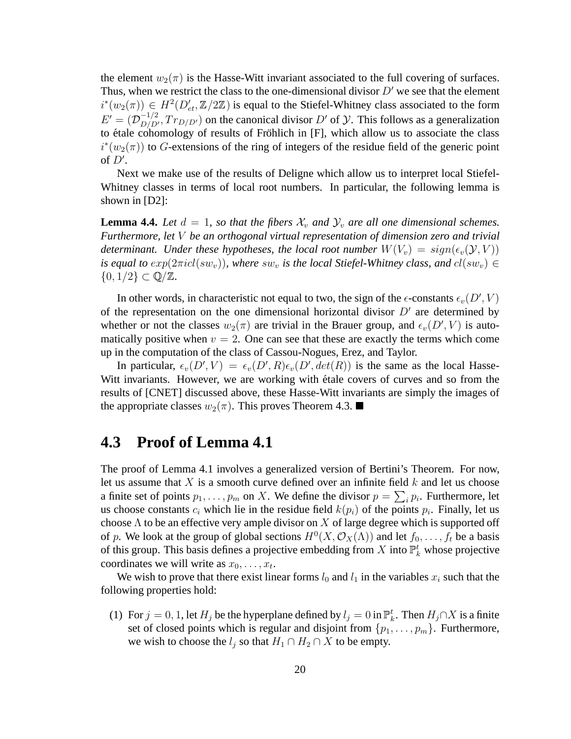the element  $w_2(\pi)$  is the Hasse-Witt invariant associated to the full covering of surfaces. Thus, when we restrict the class to the one-dimensional divisor  $D'$  we see that the element  $i^*(w_2(\pi)) \in H^2(D'_{et}, \mathbb{Z}/2\mathbb{Z})$  is equal to the Stiefel-Whitney class associated to the form  $E' = (D_{D/D'}^{-1/2}, Tr_{D/D'})$  on the canonical divisor D' of  $Y$ . This follows as a generalization to étale cohomology of results of Fröhlich in [F], which allow us to associate the class  $i^*(w_2(\pi))$  to G-extensions of the ring of integers of the residue field of the generic point of  $D^{\prime}$ .

Next we make use of the results of Deligne which allow us to interpret local Stiefel-Whitney classes in terms of local root numbers. In particular, the following lemma is shown in [D2]:

**Lemma 4.4.** Let  $d = 1$ , so that the fibers  $\mathcal{X}_v$  and  $\mathcal{Y}_v$  are all one dimensional schemes. *Furthermore, let* V *be an orthogonal virtual representation of dimension zero and trivial determinant.* Under these hypotheses, the local root number  $W(V_v) = sign(\epsilon_v(\mathcal{Y}, V))$ *is equal to*  $exp(2\pi i c l(sw_v))$ *, where*  $sw_v$  *is the local Stiefel-Whitney class, and*  $c l(sw_v)$  ∈  $\{0, 1/2\} \subset \mathbb{Q}/\mathbb{Z}$ .

In other words, in characteristic not equal to two, the sign of the  $\epsilon$ -constants  $\epsilon_v(D', V)$ of the representation on the one dimensional horizontal divisor  $D'$  are determined by whether or not the classes  $w_2(\pi)$  are trivial in the Brauer group, and  $\epsilon_v(D', V)$  is automatically positive when  $v = 2$ . One can see that these are exactly the terms which come up in the computation of the class of Cassou-Nogues, Erez, and Taylor.

In particular,  $\epsilon_v(D', V) = \epsilon_v(D', R) \epsilon_v(D', det(R))$  is the same as the local Hasse-Witt invariants. However, we are working with étale covers of curves and so from the results of [CNET] discussed above, these Hasse-Witt invariants are simply the images of the appropriate classes  $w_2(\pi)$ . This proves Theorem 4.3.

### **4.3 Proof of Lemma 4.1**

The proof of Lemma 4.1 involves a generalized version of Bertini's Theorem. For now, let us assume that X is a smooth curve defined over an infinite field  $k$  and let us choose a finite set of points  $p_1, \ldots, p_m$  on X. We define the divisor  $p = \sum_i p_i$ . Furthermore, let us choose constants  $c_i$  which lie in the residue field  $k(p_i)$  of the points  $p_i$ . Finally, let us choose  $\Lambda$  to be an effective very ample divisor on X of large degree which is supported off of p. We look at the group of global sections  $H^0(X, \mathcal{O}_X(\Lambda))$  and let  $f_0, \ldots, f_t$  be a basis of this group. This basis defines a projective embedding from X into  $\mathbb{P}^t_k$  whose projective coordinates we will write as  $x_0, \ldots, x_t$ .

We wish to prove that there exist linear forms  $l_0$  and  $l_1$  in the variables  $x_i$  such that the following properties hold:

(1) For  $j = 0, 1$ , let  $H_j$  be the hyperplane defined by  $l_j = 0$  in  $\mathbb{P}_k^t$ . Then  $H_j \cap X$  is a finite set of closed points which is regular and disjoint from  $\{p_1, \ldots, p_m\}$ . Furthermore, we wish to choose the  $l_j$  so that  $H_1 \cap H_2 \cap X$  to be empty.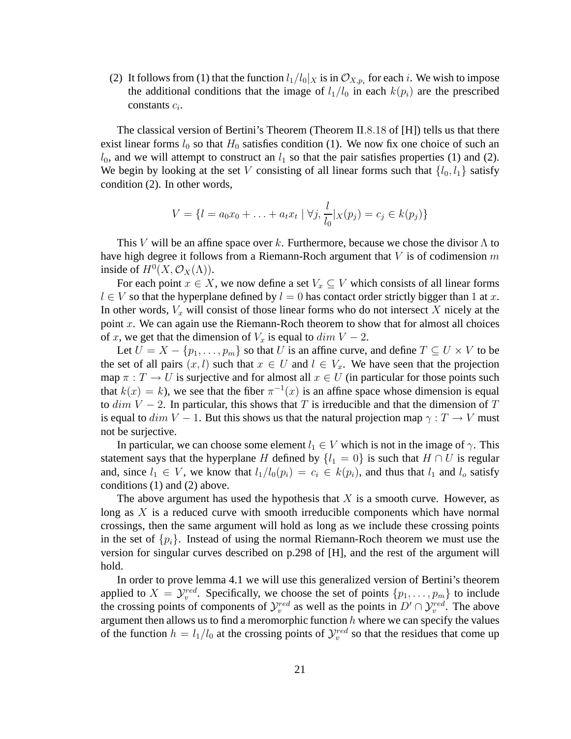(2) It follows from (1) that the function  $l_1/l_0|_X$  is in  $\mathcal{O}_{X,p_i}$  for each i. We wish to impose the additional conditions that the image of  $l_1/l_0$  in each  $k(p_i)$  are the prescribed constants  $c_i$ .

The classical version of Bertini's Theorem (Theorem II.8.18 of [H]) tells us that there exist linear forms  $l_0$  so that  $H_0$  satisfies condition (1). We now fix one choice of such an  $l_0$ , and we will attempt to construct an  $l_1$  so that the pair satisfies properties (1) and (2). We begin by looking at the set V consisting of all linear forms such that  $\{l_0, l_1\}$  satisfy condition (2). In other words,

$$
V = \{l = a_0 x_0 + \ldots + a_t x_t \mid \forall j, \frac{l}{l_0} | X(p_j) = c_j \in k(p_j) \}
$$

This V will be an affine space over k. Furthermore, because we chose the divisor  $\Lambda$  to have high degree it follows from a Riemann-Roch argument that  $V$  is of codimension  $m$ inside of  $H^0(X, \mathcal{O}_X(\Lambda))$ .

For each point  $x \in X$ , we now define a set  $V_x \subseteq V$  which consists of all linear forms  $l \in V$  so that the hyperplane defined by  $l = 0$  has contact order strictly bigger than 1 at x. In other words,  $V_x$  will consist of those linear forms who do not intersect X nicely at the point  $x$ . We can again use the Riemann-Roch theorem to show that for almost all choices of x, we get that the dimension of  $V_x$  is equal to  $dim V - 2$ .

Let  $U = X - \{p_1, \ldots, p_m\}$  so that U is an affine curve, and define  $T \subseteq U \times V$  to be the set of all pairs  $(x, l)$  such that  $x \in U$  and  $l \in V_x$ . We have seen that the projection map  $\pi : T \to U$  is surjective and for almost all  $x \in U$  (in particular for those points such that  $k(x) = k$ ), we see that the fiber  $\pi^{-1}(x)$  is an affine space whose dimension is equal to  $\dim V - 2$ . In particular, this shows that T is irreducible and that the dimension of T is equal to  $dim V - 1$ . But this shows us that the natural projection map  $\gamma : T \to V$  must not be surjective.

In particular, we can choose some element  $l_1 \in V$  which is not in the image of  $\gamma$ . This statement says that the hyperplane H defined by  $\{l_1 = 0\}$  is such that  $H \cap U$  is regular and, since  $l_1 \in V$ , we know that  $l_1/l_0(p_i) = c_i \in k(p_i)$ , and thus that  $l_1$  and  $l_0$  satisfy conditions (1) and (2) above.

The above argument has used the hypothesis that  $X$  is a smooth curve. However, as long as  $X$  is a reduced curve with smooth irreducible components which have normal crossings, then the same argument will hold as long as we include these crossing points in the set of  $\{p_i\}$ . Instead of using the normal Riemann-Roch theorem we must use the version for singular curves described on p.298 of [H], and the rest of the argument will hold.

In order to prove lemma 4.1 we will use this generalized version of Bertini's theorem applied to  $X = \mathcal{Y}_v^{red}$ . Specifically, we choose the set of points  $\{p_1, \ldots, p_m\}$  to include the crossing points of components of  $\mathcal{Y}_v^{red}$  as well as the points in  $D' \cap \mathcal{Y}_v^{red}$ . The above argument then allows us to find a meromorphic function  $h$  where we can specify the values of the function  $h = l_1/l_0$  at the crossing points of  $\mathcal{Y}_v^{red}$  so that the residues that come up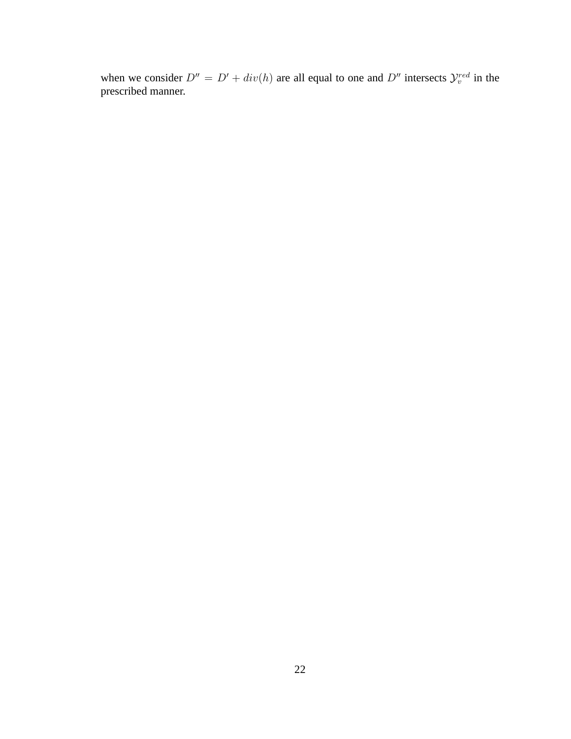when we consider  $D'' = D' + div(h)$  are all equal to one and  $D''$  intersects  $\mathcal{Y}_v^{red}$  in the prescribed manner.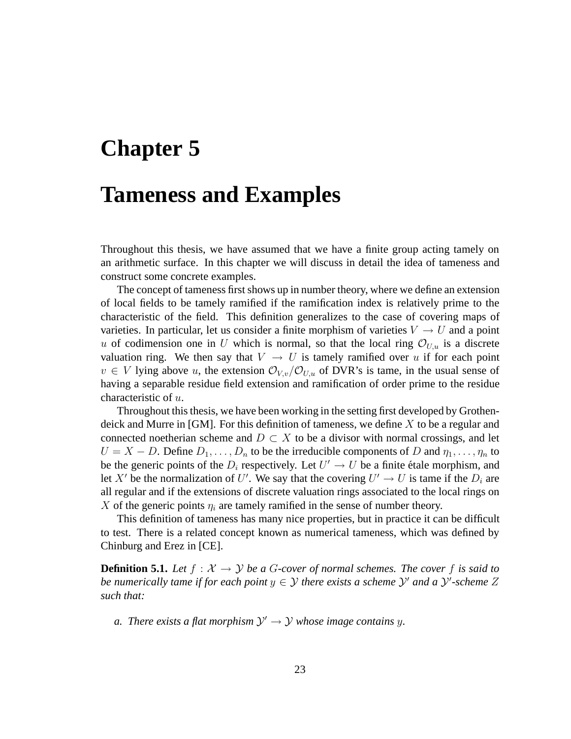## **Chapter 5**

## **Tameness and Examples**

Throughout this thesis, we have assumed that we have a finite group acting tamely on an arithmetic surface. In this chapter we will discuss in detail the idea of tameness and construct some concrete examples.

The concept of tameness first shows up in number theory, where we define an extension of local fields to be tamely ramified if the ramification index is relatively prime to the characteristic of the field. This definition generalizes to the case of covering maps of varieties. In particular, let us consider a finite morphism of varieties  $V \rightarrow U$  and a point u of codimension one in U which is normal, so that the local ring  $\mathcal{O}_{U,u}$  is a discrete valuation ring. We then say that  $V \rightarrow U$  is tamely ramified over u if for each point  $v \in V$  lying above u, the extension  $\mathcal{O}_{V,v}/\mathcal{O}_{U,u}$  of DVR's is tame, in the usual sense of having a separable residue field extension and ramification of order prime to the residue characteristic of u.

Throughout this thesis, we have been working in the setting first developed by Grothendeick and Murre in [GM]. For this definition of tameness, we define  $X$  to be a regular and connected noetherian scheme and  $D \subset X$  to be a divisor with normal crossings, and let  $U = X - D$ . Define  $D_1, \ldots, D_n$  to be the irreducible components of D and  $\eta_1, \ldots, \eta_n$  to be the generic points of the  $D_i$  respectively. Let  $U' \rightarrow U$  be a finite étale morphism, and let X' be the normalization of U'. We say that the covering  $U' \to U$  is tame if the  $D_i$  are all regular and if the extensions of discrete valuation rings associated to the local rings on X of the generic points  $\eta_i$  are tamely ramified in the sense of number theory.

This definition of tameness has many nice properties, but in practice it can be difficult to test. There is a related concept known as numerical tameness, which was defined by Chinburg and Erez in [CE].

**Definition 5.1.** Let  $f : \mathcal{X} \to \mathcal{Y}$  be a G-cover of normal schemes. The cover f is said to *be numerically tame if for each point*  $y \in \mathcal{Y}$  *there exists a scheme*  $\mathcal{Y}'$  *and a*  $\mathcal{Y}'$ *-scheme Z such that:*

*a. There exists a flat morphism*  $\mathcal{Y}' \rightarrow \mathcal{Y}$  *whose image contains y.*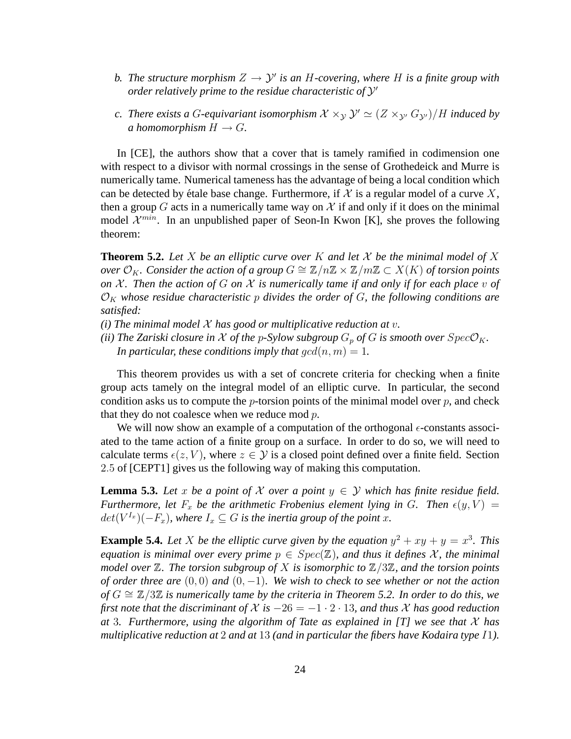- *b. The structure morphism*  $Z \rightarrow Y'$  *is an H-covering, where H is a finite group with order relatively prime to the residue characteristic of*  $\mathcal{Y}'$
- *c. There exists a G-equivariant isomorphism*  $\mathcal{X} \times_{\mathcal{Y}} \mathcal{Y}' \simeq (Z \times_{\mathcal{Y}'} G_{\mathcal{Y}'})/H$  *induced by a homomorphism*  $H \rightarrow G$ .

In [CE], the authors show that a cover that is tamely ramified in codimension one with respect to a divisor with normal crossings in the sense of Grothedeick and Murre is numerically tame. Numerical tameness has the advantage of being a local condition which can be detected by étale base change. Furthermore, if X is a regular model of a curve X, then a group G acts in a numerically tame way on  $\mathcal X$  if and only if it does on the minimal model  $\mathcal{X}^{min}$ . In an unpublished paper of Seon-In Kwon [K], she proves the following theorem:

**Theorem 5.2.** Let X be an elliptic curve over K and let X be the minimal model of X *over*  $\mathcal{O}_K$ *. Consider the action of a group*  $G \cong \mathbb{Z}/n\mathbb{Z} \times \mathbb{Z}/m\mathbb{Z} \subset X(K)$  *of torsion points on* X *. Then the action of* G *on* X *is numerically tame if and only if for each place* v *of*  $\mathcal{O}_K$  whose residue characteristic p divides the order of G, the following conditions are *satisfied:*

- $(i)$  The minimal model  $\mathcal X$  has good or multiplicative reduction at  $v$ .
- *(ii) The Zariski closure in*  $X$  *of the p-Sylow subgroup*  $G_p$  *of*  $G$  *is smooth over*  $Spec\mathcal{O}_K$ *. In particular, these conditions imply that*  $gcd(n, m) = 1$ .

This theorem provides us with a set of concrete criteria for checking when a finite group acts tamely on the integral model of an elliptic curve. In particular, the second condition asks us to compute the *p*-torsion points of the minimal model over *p*, and check that they do not coalesce when we reduce mod  $p$ .

We will now show an example of a computation of the orthogonal  $\epsilon$ -constants associ-ated to the tame action of a finite group on a surface. In order to do so, we will need to calculate terms  $\epsilon(z, V)$ , where  $z \in \mathcal{Y}$  is a closed point defined over a finite field. Section 2.5 of [CEPT1] gives us the following way of making this computation.

**Lemma 5.3.** Let x be a point of X over a point  $y \in \mathcal{Y}$  which has finite residue field. *Furthermore, let*  $F_x$  *be the arithmetic Frobenius element lying in G. Then*  $\epsilon(y, V)$  =  $det(V^{I_x})(-F_x)$ , where  $I_x \subseteq G$  is the inertia group of the point x.

**Example 5.4.** Let X be the elliptic curve given by the equation  $y^2 + xy + y = x^3$ . This *equation is minimal over every prime*  $p \in Spec(\mathbb{Z})$ *, and thus it defines*  $\mathcal{X}$ *, the minimal model over* <sup>Z</sup>*. The torsion subgroup of* X *is isomorphic to* <sup>Z</sup>/3Z*, and the torsion points of order three are* (0, 0) *and* (0, −1)*. We wish to check to see whether or not the action of*  $G \cong \mathbb{Z}/3\mathbb{Z}$  *is numerically tame by the criteria in Theorem 5.2. In order to do this, we first note that the discriminant of*  $\mathcal{X}$  *is*  $-26 = -1 \cdot 2 \cdot 13$ *, and thus*  $\mathcal{X}$  *has good reduction at* 3*. Furthermore, using the algorithm of Tate as explained in [T] we see that*  $X$  *has multiplicative reduction at* 2 *and at* 13 *(and in particular the fibers have Kodaira type* I1*).*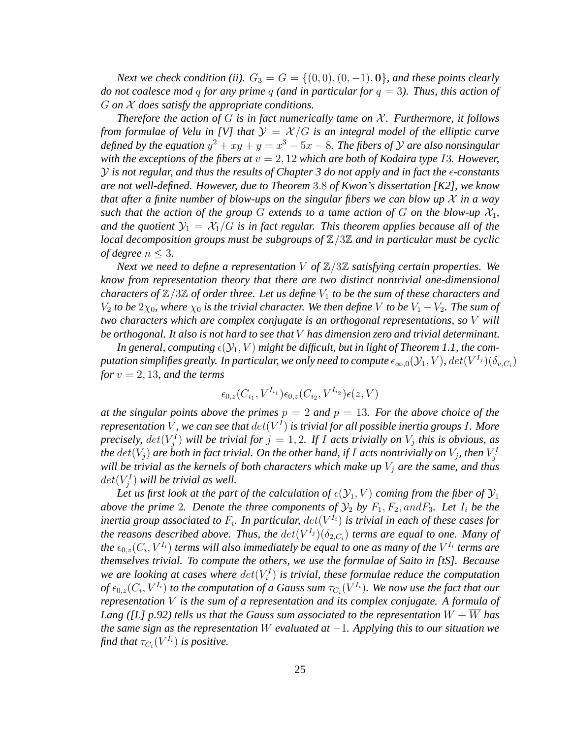*Next we check condition (ii).*  $G_3 = G = \{(0,0), (0,-1), \mathbf{0}\}\)$ *, and these points clearly do not coalesce mod* q *for any prime* q *(and in particular for* q = 3*). Thus, this action of* G *on* X *does satisfy the appropriate conditions.*

*Therefore the action of* G *is in fact numerically tame on* X *. Furthermore, it follows from formulae of Velu in [V] that*  $\mathcal{Y} = \mathcal{X}/G$  *is an integral model of the elliptic curve defined by the equation*  $y^2 + xy + y = x^3 - 5x - 8$ . The fibers of y are also nonsingular *with the exceptions of the fibers at*  $v = 2, 12$  *which are both of Kodaira type I3. However,* Y *is not regular, and thus the results of Chapter 3 do not apply and in fact the -constants are not well-defined. However, due to Theorem* 3.8 *of Kwon's dissertation [K2], we know that after a finite number of blow-ups on the singular fibers we can blow up*  $X$  *in a way such that the action of the group* G *extends to a tame action of* G *on the blow-up*  $\mathcal{X}_1$ *,* and the quotient  $\mathcal{Y}_1 = \mathcal{X}_1/G$  is in fact regular. This theorem applies because all of the *local decomposition groups must be subgroups of* <sup>Z</sup>/3<sup>Z</sup> *and in particular must be cyclic of degree* n ≤ 3*.*

*Next we need to define a representation* V *of* <sup>Z</sup>/3<sup>Z</sup> *satisfying certain properties. We know from representation theory that there are two distinct nontrivial one-dimensional characters of*  $\mathbb{Z}/3\mathbb{Z}$  *of order three. Let us define*  $V_1$  *to be the sum of these characters and*  $V_2$  *to be*  $2\chi_0$ *, where*  $\chi_0$  *is the trivial character. We then define* V *to be*  $V_1 - V_2$ *. The sum of two characters which are complex conjugate is an orthogonal representations, so* V *will be orthogonal. It also is not hard to see that* V *has dimension zero and trivial determinant.*

In general, computing  $\epsilon(\mathcal{Y}_1, V)$  might be difficult, but in light of Theorem 1.1, the com*putation simplifies greatly. In particular, we only need to compute*  $\epsilon_{\infty,0}(Y_1, V)$ *,*  $det(V^{I_j})(\delta_{v,C_i})$ *for*  $v = 2, 13$ *, and the terms* 

$$
\epsilon_{0,z}(C_{i_1},V^{I_{i_1}})\epsilon_{0,z}(C_{i_2},V^{I_{i_2}})\epsilon(z,V)
$$

*at the singular points above the primes*  $p = 2$  *and*  $p = 13$ *. For the above choice of the representation* V, we can see that  $det(V^I)$  is trivial for all possible inertia groups I. More *precisely,*  $det(V_j^I)$  *will be trivial for*  $j = 1, 2$ *. If* I *acts trivially on*  $V_j$  *this is obvious, as* the  $\det(V_j)$  are both in fact trivial. On the other hand, if  $I$  acts nontrivially on  $V_j$ , then  $V_j^I$ *will be trivial as the kernels of both characters which make up*  $V_i$  *are the same, and thus*  $det(V_j^I)$  will be trivial as well.

Let us first look at the part of the calculation of  $\epsilon(\mathcal{Y}_1, V)$  coming from the fiber of  $\mathcal{Y}_1$ *above the prime* 2*. Denote the three components of*  $\mathcal{Y}_2$  *by*  $F_1, F_2, and F_3$ *. Let*  $I_i$  *be the inertia group associated to*  $F_i$ . In particular,  $det(V^{I_i})$  is trivial in each of these cases for *the reasons described above. Thus, the*  $det(V^{I_j})(\delta_{2,C_i})$  *terms are equal to one. Many of the*  $\epsilon_{0,z}(C_i, V^{I_i})$  *terms will also immediately be equal to one as many of the*  $V^{I_i}$  *terms are themselves trivial. To compute the others, we use the formulae of Saito in [tS]. Because* we are looking at cases where  $det(V_i^I)$  is trivial, these formulae reduce the computation *of*  $\epsilon_{0,z}(C_i, V^{I_i})$  *to the computation of a Gauss sum*  $\tau_{C_i}(V^{I_i})$ *. We now use the fact that our representation* V *is the sum of a representation and its complex conjugate. A formula of Lang ([L] p.92) tells us that the Gauss sum associated to the representation*  $W + W$  *has the same sign as the representation* W *evaluated at* −1*. Applying this to our situation we find that*  $\tau_{C_i}(V^{I_i})$  *is positive.*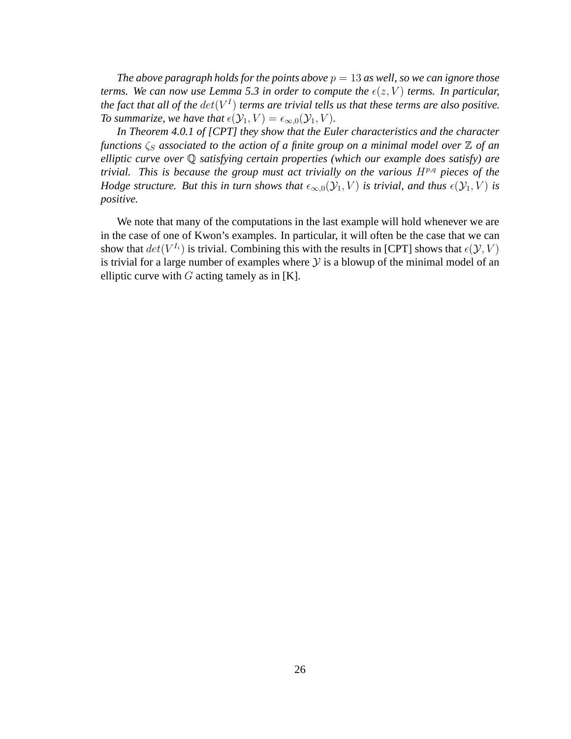*The above paragraph holds for the points above*  $p = 13$  *as well, so we can ignore those terms. We can now use Lemma 5.3 in order to compute the*  $\epsilon(z, V)$  *terms. In particular, the fact that all of the*  $det(V^I)$  *terms are trivial tells us that these terms are also positive. To summarize, we have that*  $\epsilon(\mathcal{Y}_1, V) = \epsilon_{\infty,0}(\mathcal{Y}_1, V)$ *.* 

*In Theorem 4.0.1 of [CPT] they show that the Euler characteristics and the character functions*  $\zeta_s$  *associated to the action of a finite group on a minimal model over*  $\mathbb{Z}$  *of an elliptic curve over* <sup>Q</sup> *satisfying certain properties (which our example does satisfy) are trivial. This is because the group must act trivially on the various H<sup>p,q</sup> pieces of the Hodge structure. But this in turn shows that*  $\epsilon_{\infty,0}(Y_1, V)$  *is trivial, and thus*  $\epsilon(Y_1, V)$  *is positive.*

We note that many of the computations in the last example will hold whenever we are in the case of one of Kwon's examples. In particular, it will often be the case that we can show that  $det(V^{I_i})$  is trivial. Combining this with the results in [CPT] shows that  $\epsilon(\mathcal{Y}, V)$ is trivial for a large number of examples where  $\mathcal Y$  is a blowup of the minimal model of an elliptic curve with  $G$  acting tamely as in [K].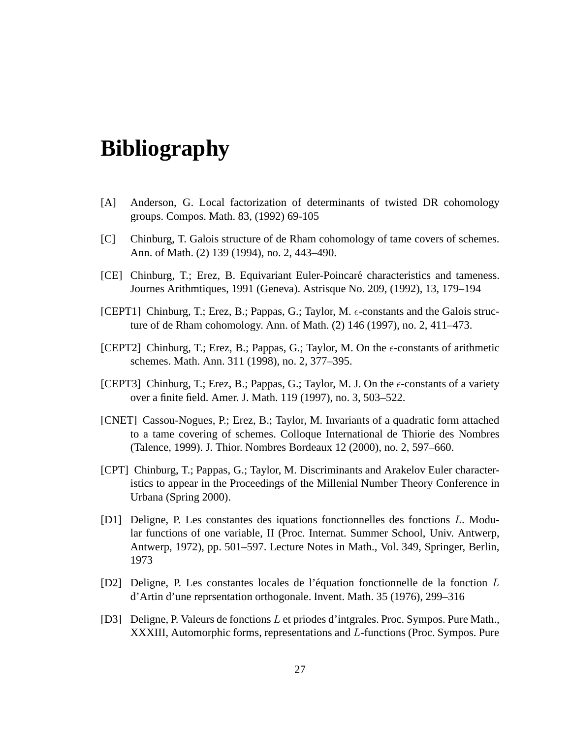# **Bibliography**

- [A] Anderson, G. Local factorization of determinants of twisted DR cohomology groups. Compos. Math. 83, (1992) 69-105
- [C] Chinburg, T. Galois structure of de Rham cohomology of tame covers of schemes. Ann. of Math. (2) 139 (1994), no. 2, 443–490.
- [CE] Chinburg, T.; Erez, B. Equivariant Euler-Poincaré characteristics and tameness. Journes Arithmtiques, 1991 (Geneva). Astrisque No. 209, (1992), 13, 179–194
- [CEPT1] Chinburg, T.; Erez, B.; Pappas, G.; Taylor, M.  $\epsilon$ -constants and the Galois structure of de Rham cohomology. Ann. of Math. (2) 146 (1997), no. 2, 411–473.
- [CEPT2] Chinburg, T.; Erez, B.; Pappas, G.; Taylor, M. On the  $\epsilon$ -constants of arithmetic schemes. Math. Ann. 311 (1998), no. 2, 377–395.
- [CEPT3] Chinburg, T.; Erez, B.; Pappas, G.; Taylor, M. J. On the  $\epsilon$ -constants of a variety over a finite field. Amer. J. Math. 119 (1997), no. 3, 503–522.
- [CNET] Cassou-Nogues, P.; Erez, B.; Taylor, M. Invariants of a quadratic form attached to a tame covering of schemes. Colloque International de Thiorie des Nombres (Talence, 1999). J. Thior. Nombres Bordeaux 12 (2000), no. 2, 597–660.
- [CPT] Chinburg, T.; Pappas, G.; Taylor, M. Discriminants and Arakelov Euler characteristics to appear in the Proceedings of the Millenial Number Theory Conference in Urbana (Spring 2000).
- [D1] Deligne, P. Les constantes des iquations fonctionnelles des fonctions L. Modular functions of one variable, II (Proc. Internat. Summer School, Univ. Antwerp, Antwerp, 1972), pp. 501–597. Lecture Notes in Math., Vol. 349, Springer, Berlin, 1973
- [D2] Deligne, P. Les constantes locales de l'´equation fonctionnelle de la fonction L d'Artin d'une reprsentation orthogonale. Invent. Math. 35 (1976), 299–316
- [D3] Deligne, P. Valeurs de fonctions L et priodes d'intgrales. Proc. Sympos. Pure Math., XXXIII, Automorphic forms, representations and L-functions (Proc. Sympos. Pure